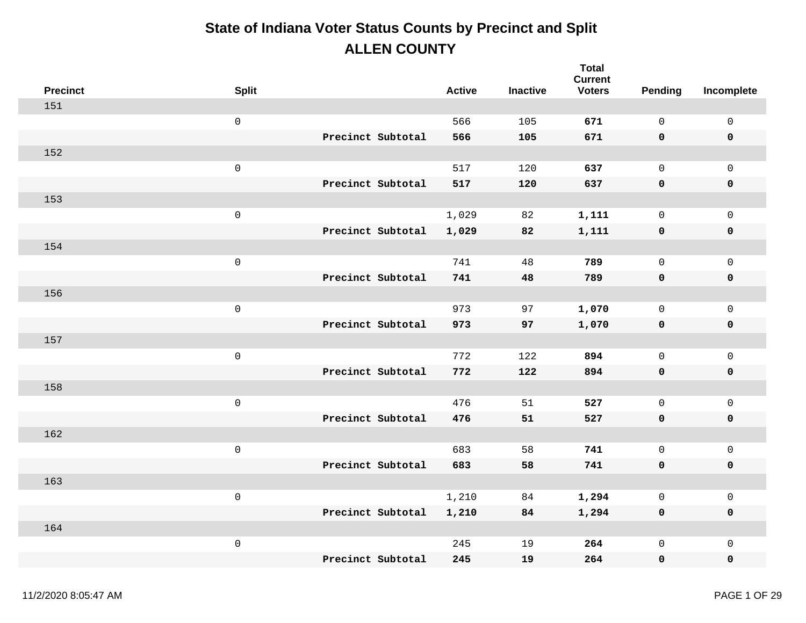| <b>Precinct</b> | <b>Split</b>        |                   | <b>Active</b> | <b>Inactive</b> | <b>Total</b><br><b>Current</b><br><b>Voters</b> | Pending      | Incomplete          |
|-----------------|---------------------|-------------------|---------------|-----------------|-------------------------------------------------|--------------|---------------------|
| 151             |                     |                   |               |                 |                                                 |              |                     |
|                 | $\mathsf 0$         |                   | 566           | 105             | 671                                             | $\mathbf 0$  | $\mathsf{O}$        |
|                 |                     | Precinct Subtotal | 566           | 105             | 671                                             | 0            | $\pmb{0}$           |
| 152             |                     |                   |               |                 |                                                 |              |                     |
|                 | $\mathsf 0$         |                   | 517           | 120             | 637                                             | $\mathsf{O}$ | $\mathbf 0$         |
|                 |                     | Precinct Subtotal | 517           | 120             | 637                                             | $\mathbf 0$  | $\pmb{0}$           |
| 153             |                     |                   |               |                 |                                                 |              |                     |
|                 | $\mathsf 0$         |                   | 1,029         | 82              | 1,111                                           | $\mathsf{O}$ | $\mathsf{O}$        |
|                 |                     | Precinct Subtotal | 1,029         | 82              | 1,111                                           | 0            | $\pmb{0}$           |
| 154             |                     |                   |               |                 |                                                 |              |                     |
|                 | $\mathsf 0$         |                   | 741           | 48              | 789                                             | $\mathsf{O}$ | $\mathbf 0$         |
|                 |                     | Precinct Subtotal | 741           | 48              | 789                                             | $\mathbf 0$  | $\pmb{0}$           |
| 156             |                     |                   |               |                 |                                                 |              |                     |
|                 | $\mathsf 0$         |                   | 973           | 97              | 1,070                                           | $\mathsf{O}$ | $\mathsf{O}\xspace$ |
|                 |                     | Precinct Subtotal | 973           | 97              | 1,070                                           | 0            | $\pmb{0}$           |
| 157             |                     |                   |               |                 |                                                 |              |                     |
|                 | $\mathsf{O}\xspace$ |                   | 772           | 122             | 894                                             | $\mathsf{O}$ | $\mathbf 0$         |
|                 |                     | Precinct Subtotal | 772           | 122             | 894                                             | 0            | $\pmb{0}$           |
| 158             |                     |                   |               |                 |                                                 |              |                     |
|                 | $\mathsf 0$         |                   | 476           | 51              | 527                                             | $\mathsf{O}$ | $\mathsf{O}\xspace$ |
|                 |                     | Precinct Subtotal | 476           | 51              | 527                                             | 0            | $\pmb{0}$           |
| 162             |                     |                   |               |                 |                                                 |              |                     |
|                 | $\mathsf 0$         |                   | 683           | 58              | 741                                             | $\mathsf{O}$ | $\mathbf 0$         |
|                 |                     | Precinct Subtotal | 683           | 58              | 741                                             | $\mathbf 0$  | $\pmb{0}$           |
| 163             |                     |                   |               |                 |                                                 |              |                     |
|                 | $\mathsf 0$         |                   | 1,210         | 84              | 1,294                                           | $\mathsf{O}$ | $\mathsf{O}\xspace$ |
|                 |                     | Precinct Subtotal | 1,210         | 84              | 1,294                                           | 0            | $\pmb{0}$           |
| 164             |                     |                   |               |                 |                                                 |              |                     |
|                 | $\mathsf 0$         |                   | 245           | 19              | 264                                             | 0            | $\mathbf 0$         |
|                 |                     | Precinct Subtotal | 245           | 19              | 264                                             | 0            | $\mathbf 0$         |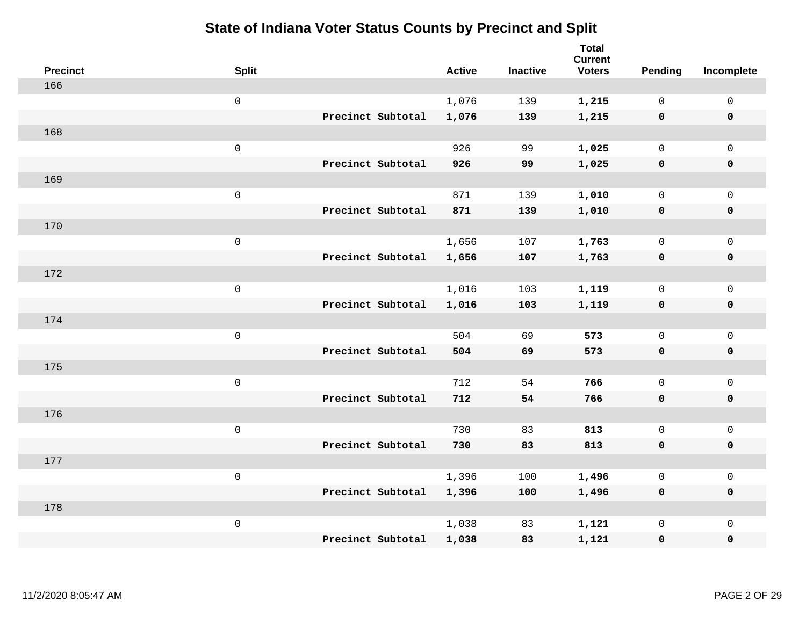| <b>Precinct</b> | <b>Split</b>        |                   | <b>Active</b> | <b>Inactive</b> | <b>Total</b><br><b>Current</b><br><b>Voters</b> | <b>Pending</b> | Incomplete          |
|-----------------|---------------------|-------------------|---------------|-----------------|-------------------------------------------------|----------------|---------------------|
| 166             |                     |                   |               |                 |                                                 |                |                     |
|                 | $\mathsf{O}$        |                   | 1,076         | 139             | 1,215                                           | $\mathbf 0$    | 0                   |
|                 |                     | Precinct Subtotal | 1,076         | 139             | 1,215                                           | $\mathbf 0$    | $\mathbf 0$         |
| 168             |                     |                   |               |                 |                                                 |                |                     |
|                 | $\mathsf 0$         |                   | 926           | 99              | 1,025                                           | $\mathsf{O}$   | $\mathsf{O}$        |
|                 |                     | Precinct Subtotal | 926           | 99              | 1,025                                           | $\mathbf 0$    | $\pmb{0}$           |
| 169             |                     |                   |               |                 |                                                 |                |                     |
|                 | $\mathsf 0$         |                   | 871           | 139             | 1,010                                           | $\mathbf{0}$   | $\mathsf{O}$        |
|                 |                     | Precinct Subtotal | 871           | 139             | 1,010                                           | 0              | $\mathbf 0$         |
| 170             |                     |                   |               |                 |                                                 |                |                     |
|                 | $\mathsf{O}\xspace$ |                   | 1,656         | 107             | 1,763                                           | $\mathsf{O}$   | $\mathbf 0$         |
|                 |                     | Precinct Subtotal | 1,656         | 107             | 1,763                                           | $\mathbf 0$    | $\mathbf 0$         |
| 172             |                     |                   |               |                 |                                                 |                |                     |
|                 | $\mathsf{O}$        |                   | 1,016         | 103             | 1,119                                           | $\mathbf 0$    | $\mathbf 0$         |
|                 |                     | Precinct Subtotal | 1,016         | 103             | 1,119                                           | $\mathbf 0$    | $\mathbf 0$         |
| 174             |                     |                   |               |                 |                                                 |                |                     |
|                 | $\mathsf 0$         |                   | 504           | 69              | 573                                             | $\mathsf{O}$   | $\mathsf{O}$        |
|                 |                     | Precinct Subtotal | 504           | 69              | 573                                             | 0              | $\pmb{0}$           |
| 175             |                     |                   |               |                 |                                                 |                |                     |
|                 | $\mathsf 0$         |                   | 712           | 54              | 766                                             | $\mathsf{O}$   | $\mathsf{O}$        |
|                 |                     | Precinct Subtotal | 712           | 54              | 766                                             | 0              | $\mathbf 0$         |
| 176             |                     |                   |               |                 |                                                 |                |                     |
|                 | $\mathsf 0$         |                   | 730           | 83              | 813                                             | $\mathsf{O}$   | $\mathsf{O}\xspace$ |
|                 |                     | Precinct Subtotal | 730           | 83              | 813                                             | $\mathbf 0$    | $\mathbf 0$         |
| 177             |                     |                   |               |                 |                                                 |                |                     |
|                 | $\mathsf 0$         |                   | 1,396         | 100             | 1,496                                           | 0              | $\mathsf 0$         |
| 178             |                     | Precinct Subtotal | 1,396         | 100             | 1,496                                           | $\mathbf 0$    | $\mathbf 0$         |
|                 | $\mathsf 0$         |                   | 1,038         | 83              | 1,121                                           | 0              | $\mathsf{O}$        |
|                 |                     | Precinct Subtotal | 1,038         | 83              |                                                 |                | $\mathbf 0$         |
|                 |                     |                   |               |                 | 1,121                                           | 0              |                     |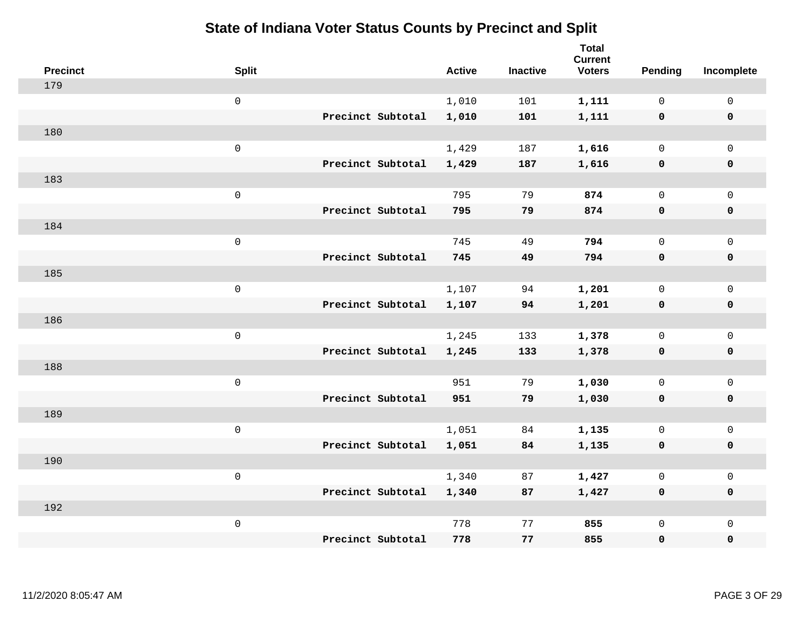| <b>Precinct</b> | <b>Split</b>      | <b>Active</b> | <b>Inactive</b> | <b>Total</b><br><b>Current</b><br><b>Voters</b> | <b>Pending</b> | Incomplete          |
|-----------------|-------------------|---------------|-----------------|-------------------------------------------------|----------------|---------------------|
| 179             |                   |               |                 |                                                 |                |                     |
|                 | $\mathbf 0$       | 1,010         | 101             | 1,111                                           | $\mathbf 0$    | $\mathbf 0$         |
|                 | Precinct Subtotal | 1,010         | 101             | 1,111                                           | $\mathbf 0$    | $\mathbf 0$         |
| 180             |                   |               |                 |                                                 |                |                     |
|                 | $\mathbf 0$       | 1,429         | 187             | 1,616                                           | $\mathsf{O}$   | $\mathbf 0$         |
|                 | Precinct Subtotal | 1,429         | 187             | 1,616                                           | $\mathbf 0$    | $\mathbf 0$         |
| 183             |                   |               |                 |                                                 |                |                     |
|                 | $\mathsf 0$       | 795           | 79              | 874                                             | $\mathbf 0$    | $\mathsf{O}\xspace$ |
|                 | Precinct Subtotal | 795           | 79              | 874                                             | 0              | $\mathbf 0$         |
| 184             |                   |               |                 |                                                 |                |                     |
|                 | $\mathbf 0$       | 745           | 49              | 794                                             | $\mathbf 0$    | $\mathsf{O}\xspace$ |
|                 | Precinct Subtotal | 745           | 49              | 794                                             | $\mathbf 0$    | $\mathbf 0$         |
| 185             |                   |               |                 |                                                 |                |                     |
|                 | $\mathsf 0$       | 1,107         | 94              | 1,201                                           | $\mathbf 0$    | $\mathbf{0}$        |
|                 | Precinct Subtotal | 1,107         | 94              | 1,201                                           | $\mathbf 0$    | $\mathbf 0$         |
| 186             |                   |               |                 |                                                 |                |                     |
|                 | $\mathbf 0$       | 1,245         | 133             | 1,378                                           | $\mathsf{O}$   | $\mathbf 0$         |
|                 | Precinct Subtotal | 1,245         | 133             | 1,378                                           | $\mathbf 0$    | $\mathbf 0$         |
| 188             |                   |               |                 |                                                 |                |                     |
|                 | $\mathbf 0$       | 951           | 79              | 1,030                                           | $\mathsf{O}$   | $\mathbf 0$         |
|                 | Precinct Subtotal | 951           | 79              | 1,030                                           | 0              | $\mathbf 0$         |
| 189             |                   |               |                 |                                                 |                |                     |
|                 | $\mathbf 0$       | 1,051         | 84              | 1,135                                           | $\mathsf{O}$   | $\mathsf{O}\xspace$ |
|                 | Precinct Subtotal | 1,051         | 84              | 1,135                                           | $\mathbf 0$    | $\mathbf 0$         |
| 190             |                   |               |                 |                                                 |                |                     |
|                 | $\mathbf 0$       | 1,340         | 87              | 1,427                                           | $\mathbf 0$    | $\mathsf 0$         |
|                 | Precinct Subtotal | 1,340         | 87              | 1,427                                           | 0              | $\mathbf 0$         |
| 192             |                   |               |                 |                                                 |                |                     |
|                 | $\mathbf 0$       | 778           | 77              | 855                                             | $\mathsf{O}$   | $\mathbf 0$         |
|                 | Precinct Subtotal | 778           | 77              | 855                                             | 0              | $\pmb{0}$           |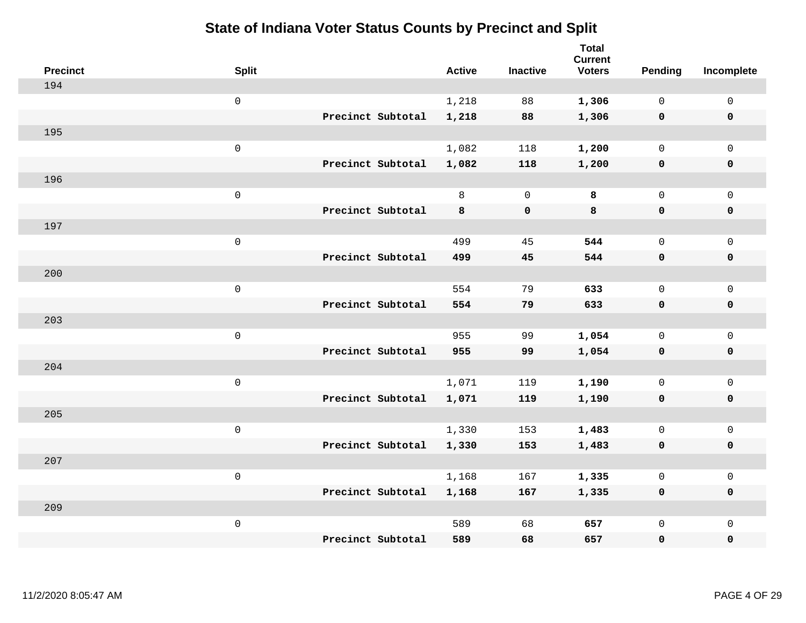| <b>Precinct</b> | <b>Split</b>        |                   | <b>Active</b> | <b>Inactive</b> | <b>Total</b><br><b>Current</b><br><b>Voters</b> | Pending      | Incomplete          |
|-----------------|---------------------|-------------------|---------------|-----------------|-------------------------------------------------|--------------|---------------------|
| 194             |                     |                   |               |                 |                                                 |              |                     |
|                 | $\mathsf{O}\xspace$ |                   | 1,218         | 88              | 1,306                                           | $\mathbf 0$  | $\mathsf{O}\xspace$ |
|                 |                     | Precinct Subtotal | 1,218         | 88              | 1,306                                           | $\mathbf 0$  | $\pmb{0}$           |
| 195             |                     |                   |               |                 |                                                 |              |                     |
|                 | $\mathsf 0$         |                   | 1,082         | 118             | 1,200                                           | $\mathbf 0$  | $\mathbf{0}$        |
|                 |                     | Precinct Subtotal | 1,082         | 118             | 1,200                                           | $\mathbf 0$  | $\pmb{0}$           |
| 196             |                     |                   |               |                 |                                                 |              |                     |
|                 | $\mathsf 0$         |                   | 8             | $\mathbf 0$     | 8                                               | $\mathsf{O}$ | $\mathsf{O}\xspace$ |
|                 |                     | Precinct Subtotal | 8             | $\mathbf 0$     | 8                                               | 0            | 0                   |
| 197             |                     |                   |               |                 |                                                 |              |                     |
|                 | $\mathsf 0$         |                   | 499           | 45              | 544                                             | $\mathsf{O}$ | $\mathsf{O}\xspace$ |
|                 |                     | Precinct Subtotal | 499           | 45              | 544                                             | $\mathbf 0$  | 0                   |
| 200             |                     |                   |               |                 |                                                 |              |                     |
|                 | $\mathsf 0$         |                   | 554           | 79              | 633                                             | $\mathbf 0$  | $\mathsf{O}\xspace$ |
|                 |                     | Precinct Subtotal | 554           | 79              | 633                                             | $\mathbf 0$  | 0                   |
| 203             |                     |                   |               |                 |                                                 |              |                     |
|                 | $\mathsf{O}\xspace$ |                   | 955           | 99              | 1,054                                           | $\mathsf{O}$ | $\mathsf{O}\xspace$ |
|                 |                     | Precinct Subtotal | 955           | 99              | 1,054                                           | $\mathbf 0$  | 0                   |
| 204             |                     |                   |               |                 |                                                 |              |                     |
|                 | $\mathsf 0$         |                   | 1,071         | 119             | 1,190                                           | $\mathbf 0$  | $\mathsf{O}$        |
|                 |                     | Precinct Subtotal | 1,071         | 119             | 1,190                                           | $\mathbf 0$  | 0                   |
| 205             |                     |                   |               |                 |                                                 |              |                     |
|                 | $\mathsf 0$         |                   | 1,330         | 153             | 1,483                                           | $\mathbf 0$  | $\mathsf{O}\xspace$ |
|                 |                     | Precinct Subtotal | 1,330         | 153             | 1,483                                           | 0            | 0                   |
| 207             |                     |                   |               |                 |                                                 |              |                     |
|                 | $\mathsf 0$         |                   | 1,168         | 167             | 1,335                                           | $\mathsf{O}$ | $\mathsf{O}\xspace$ |
|                 |                     | Precinct Subtotal | 1,168         | 167             | 1,335                                           | 0            | 0                   |
| 209             |                     |                   |               |                 |                                                 |              |                     |
|                 | $\mathsf 0$         |                   | 589           | 68              | 657                                             | $\mathsf{O}$ | $\mathsf{O}$        |
|                 |                     | Precinct Subtotal | 589           | 68              | 657                                             | 0            | 0                   |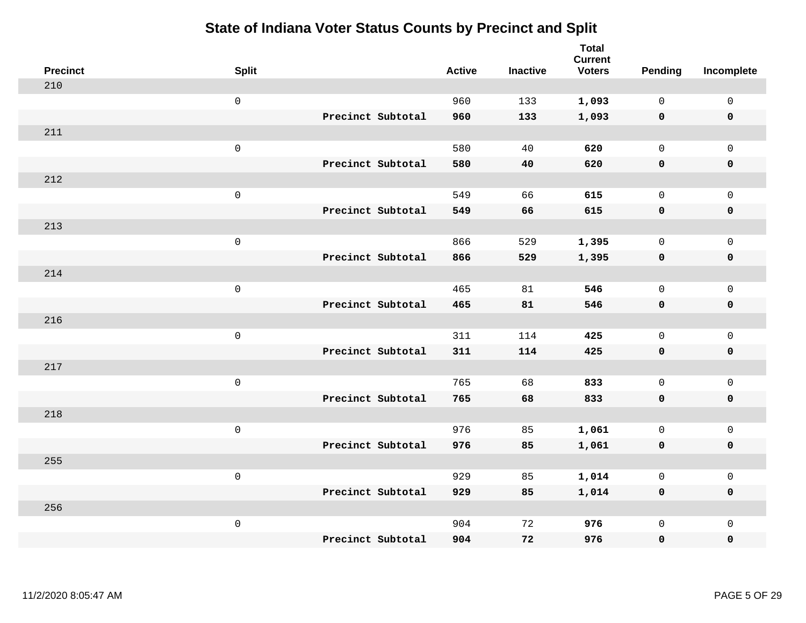| <b>Precinct</b> | <b>Split</b>        |                   | <b>Active</b> | <b>Inactive</b> | <b>Total</b><br><b>Current</b><br><b>Voters</b> | Pending      | Incomplete          |
|-----------------|---------------------|-------------------|---------------|-----------------|-------------------------------------------------|--------------|---------------------|
| 210             |                     |                   |               |                 |                                                 |              |                     |
|                 | $\mathsf{O}$        |                   | 960           | 133             | 1,093                                           | $\mathbf 0$  | $\mathsf{O}$        |
|                 |                     | Precinct Subtotal | 960           | 133             | 1,093                                           | $\mathbf 0$  | $\mathbf 0$         |
| 211             |                     |                   |               |                 |                                                 |              |                     |
|                 | $\mathsf{O}\xspace$ |                   | 580           | 40              | 620                                             | $\mathbf 0$  | $\mathsf{O}$        |
|                 |                     | Precinct Subtotal | 580           | 40              | 620                                             | 0            | 0                   |
| 212             |                     |                   |               |                 |                                                 |              |                     |
|                 | $\mathsf{O}\xspace$ |                   | 549           | 66              | 615                                             | $\mathbf 0$  | $\mathsf{O}\xspace$ |
|                 |                     | Precinct Subtotal | 549           | 66              | 615                                             | 0            | 0                   |
| 213             |                     |                   |               |                 |                                                 |              |                     |
|                 | $\mathsf{O}\xspace$ |                   | 866           | 529             | 1,395                                           | $\mathbf 0$  | $\mathsf{O}\xspace$ |
|                 |                     | Precinct Subtotal | 866           | 529             | 1,395                                           | $\mathbf 0$  | 0                   |
| 214             |                     |                   |               |                 |                                                 |              |                     |
|                 | $\mathsf{O}\xspace$ |                   | 465           | 81              | 546                                             | $\mathbf 0$  | $\mathbf 0$         |
|                 |                     | Precinct Subtotal | 465           | 81              | 546                                             | 0            | 0                   |
| 216             |                     |                   |               |                 |                                                 |              |                     |
|                 | $\mathsf 0$         |                   | 311           | 114             | 425                                             | $\mathsf{O}$ | $\mathsf{O}$        |
|                 |                     | Precinct Subtotal | 311           | 114             | 425                                             | 0            | 0                   |
| 217             |                     |                   |               |                 |                                                 |              |                     |
|                 | $\mathsf 0$         |                   | 765           | 68              | 833                                             | $\mathsf{O}$ | $\mathsf{O}$        |
|                 |                     | Precinct Subtotal | 765           | 68              | 833                                             | 0            | 0                   |
| 218             |                     |                   |               |                 |                                                 |              |                     |
|                 | $\mathsf{O}\xspace$ |                   | 976           | 85              | 1,061                                           | $\mathsf{O}$ | $\mathsf{O}\xspace$ |
|                 |                     | Precinct Subtotal | 976           | 85              | 1,061                                           | 0            | 0                   |
| 255             |                     |                   |               |                 |                                                 |              |                     |
|                 | $\mathsf 0$         |                   | 929           | 85              | 1,014                                           | 0            | $\mathsf 0$         |
|                 |                     | Precinct Subtotal | 929           | 85              | 1,014                                           | $\mathbf 0$  | 0                   |
| 256             |                     |                   |               |                 |                                                 |              |                     |
|                 | $\mathsf 0$         |                   | 904           | 72              | 976                                             | $\mathsf{O}$ | $\mathsf{O}$        |
|                 |                     | Precinct Subtotal | 904           | 72              | 976                                             | 0            | 0                   |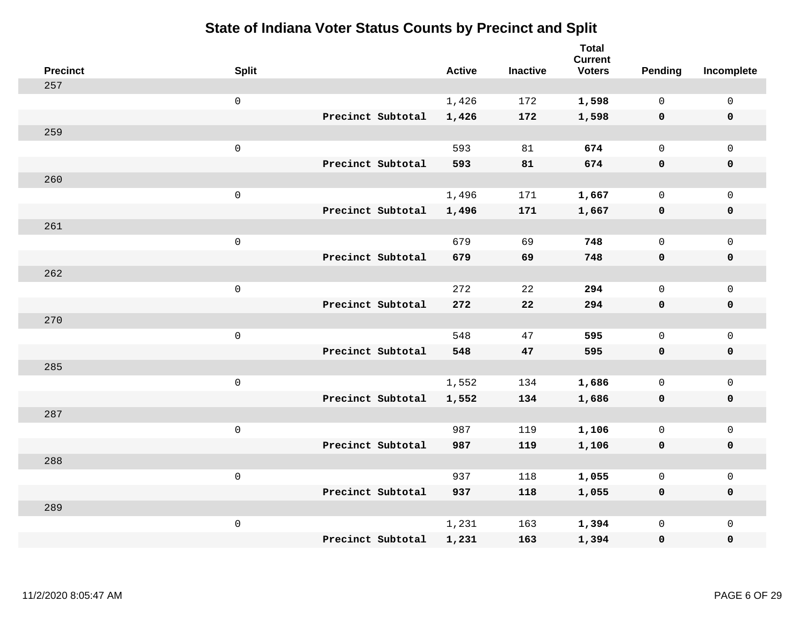| <b>Precinct</b> | <b>Split</b>        |                   | <b>Active</b> | <b>Inactive</b> | <b>Total</b><br><b>Current</b><br><b>Voters</b> | <b>Pending</b> | Incomplete          |
|-----------------|---------------------|-------------------|---------------|-----------------|-------------------------------------------------|----------------|---------------------|
| 257             |                     |                   |               |                 |                                                 |                |                     |
|                 | $\mathsf{O}$        |                   | 1,426         | 172             | 1,598                                           | $\mathbf{0}$   | $\mathbf 0$         |
|                 |                     | Precinct Subtotal | 1,426         | 172             | 1,598                                           | $\mathbf 0$    | $\mathbf 0$         |
| 259             |                     |                   |               |                 |                                                 |                |                     |
|                 | $\mathsf 0$         |                   | 593           | 81              | 674                                             | $\mathsf{O}$   | $\mathsf{O}$        |
|                 |                     | Precinct Subtotal | 593           | 81              | 674                                             | 0              | $\pmb{0}$           |
| 260             |                     |                   |               |                 |                                                 |                |                     |
|                 | $\mathsf 0$         |                   | 1,496         | 171             | 1,667                                           | $\mathbf{0}$   | $\mathsf{O}$        |
|                 |                     | Precinct Subtotal | 1,496         | 171             | 1,667                                           | 0              | $\mathbf 0$         |
| 261             |                     |                   |               |                 |                                                 |                |                     |
|                 | $\mathsf{O}\xspace$ |                   | 679           | 69              | 748                                             | $\mathbf{0}$   | $\mathbf 0$         |
|                 |                     | Precinct Subtotal | 679           | 69              | 748                                             | $\mathbf 0$    | $\mathbf 0$         |
| 262             |                     |                   |               |                 |                                                 |                |                     |
|                 | $\mathsf{O}\xspace$ |                   | 272           | 22              | 294                                             | $\mathbf 0$    | $\mathbf{0}$        |
|                 |                     | Precinct Subtotal | 272           | 22              | 294                                             | 0              | $\mathbf 0$         |
| 270             |                     |                   |               |                 |                                                 |                |                     |
|                 | $\mathsf 0$         |                   | 548           | 47              | 595                                             | 0              | $\mathsf{O}$        |
|                 |                     | Precinct Subtotal | 548           | 47              | 595                                             | 0              | $\pmb{0}$           |
| 285             |                     |                   |               |                 |                                                 |                |                     |
|                 | $\mathsf 0$         |                   | 1,552         | 134             | 1,686                                           | $\mathsf{O}$   | $\mathsf{O}$        |
|                 |                     | Precinct Subtotal | 1,552         | 134             | 1,686                                           | 0              | $\mathbf 0$         |
| 287             |                     |                   |               |                 |                                                 |                |                     |
|                 | $\mathsf{O}\xspace$ |                   | 987           | 119             | 1,106                                           | 0              | $\mathsf{O}\xspace$ |
|                 |                     | Precinct Subtotal | 987           | 119             | 1,106                                           | 0              | $\mathbf 0$         |
| 288             |                     |                   |               |                 |                                                 |                |                     |
|                 | $\mathsf 0$         |                   | 937           | 118             | 1,055                                           | 0              | $\mathsf 0$         |
|                 |                     | Precinct Subtotal | 937           | 118             | 1,055                                           | 0              | $\mathbf 0$         |
| 289             |                     |                   |               |                 |                                                 |                |                     |
|                 | $\mathbf 0$         |                   | 1,231         | 163             | 1,394                                           | 0              | $\mathsf{O}$        |
|                 |                     | Precinct Subtotal | 1,231         | 163             | 1,394                                           | 0              | $\mathbf 0$         |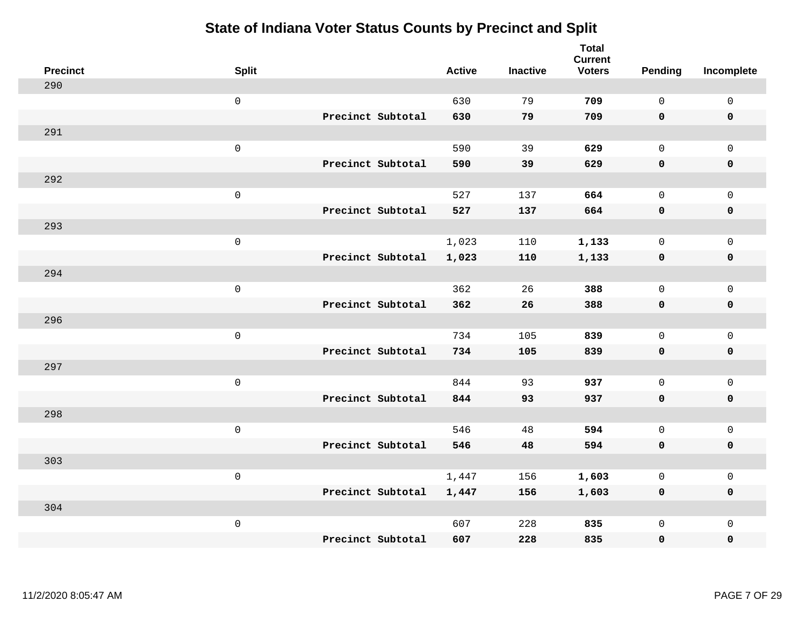| <b>Precinct</b> | <b>Split</b>        |                   | <b>Active</b> | <b>Inactive</b> | <b>Total</b><br><b>Current</b><br><b>Voters</b> | <b>Pending</b> | Incomplete          |
|-----------------|---------------------|-------------------|---------------|-----------------|-------------------------------------------------|----------------|---------------------|
| 290             |                     |                   |               |                 |                                                 |                |                     |
|                 | $\mathsf{O}\xspace$ |                   | 630           | 79              | 709                                             | $\mathbf 0$    | $\mathbf 0$         |
|                 |                     | Precinct Subtotal | 630           | 79              | 709                                             | $\mathbf 0$    | $\mathbf 0$         |
| 291             |                     |                   |               |                 |                                                 |                |                     |
|                 | $\mathbf 0$         |                   | 590           | 39              | 629                                             | $\mathbf 0$    | $\mathbf 0$         |
|                 |                     | Precinct Subtotal | 590           | 39              | 629                                             | $\mathbf 0$    | $\pmb{0}$           |
| 292             |                     |                   |               |                 |                                                 |                |                     |
|                 | $\mathsf 0$         |                   | 527           | 137             | 664                                             | $\mathbf 0$    | $\mathbf 0$         |
|                 |                     | Precinct Subtotal | 527           | 137             | 664                                             | $\mathbf 0$    | $\mathbf 0$         |
| 293             |                     |                   |               |                 |                                                 |                |                     |
|                 | $\mathbf 0$         |                   | 1,023         | 110             | 1,133                                           | $\mathbf 0$    | $\mathbf 0$         |
|                 |                     | Precinct Subtotal | 1,023         | 110             | 1,133                                           | $\mathbf 0$    | $\mathbf 0$         |
| 294             |                     |                   |               |                 |                                                 |                |                     |
|                 | $\mathsf 0$         |                   | 362           | 26              | 388                                             | $\Omega$       | $\mathbf{0}$        |
|                 |                     | Precinct Subtotal | 362           | 26              | 388                                             | $\mathbf 0$    | $\mathbf 0$         |
| 296             |                     |                   |               |                 |                                                 |                |                     |
|                 | $\mathbf 0$         |                   | 734           | 105             | 839                                             | $\mathbf 0$    | $\mathsf{O}\xspace$ |
|                 |                     | Precinct Subtotal | 734           | 105             | 839                                             | $\mathbf 0$    | $\mathbf 0$         |
| 297             |                     |                   |               |                 |                                                 |                |                     |
|                 | $\mathbf 0$         |                   | 844           | 93              | 937                                             | $\mathbf 0$    | $\mathsf{O}\xspace$ |
|                 |                     | Precinct Subtotal | 844           | 93              | 937                                             | $\mathbf 0$    | $\mathbf 0$         |
| 298             |                     |                   |               |                 |                                                 |                |                     |
|                 | $\mathbf 0$         |                   | 546           | 48              | 594                                             | $\mathbf 0$    | $\mathsf{O}\xspace$ |
|                 |                     | Precinct Subtotal | 546           | 48              | 594                                             | $\mathbf 0$    | $\mathbf 0$         |
| 303             |                     |                   |               |                 |                                                 |                |                     |
|                 | $\mathsf 0$         |                   | 1,447         | 156             | 1,603                                           | 0              | $\mathsf 0$         |
|                 |                     | Precinct Subtotal | 1,447         | 156             | 1,603                                           | $\mathbf 0$    | $\mathbf 0$         |
| 304             |                     |                   |               |                 |                                                 |                |                     |
|                 | $\mathbf 0$         |                   | 607           | 228             | 835                                             | $\mathsf{O}$   | $\mathbf 0$         |
|                 |                     | Precinct Subtotal | 607           | 228             | 835                                             | $\mathbf 0$    | $\pmb{0}$           |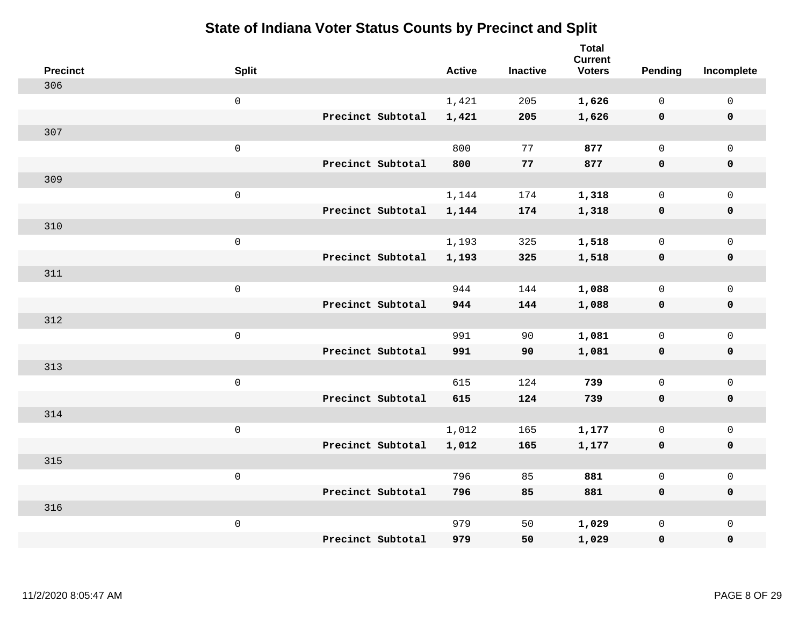| <b>Precinct</b> | <b>Split</b>        |                   | <b>Active</b> | <b>Inactive</b> | <b>Total</b><br><b>Current</b><br><b>Voters</b> | Pending      | Incomplete          |
|-----------------|---------------------|-------------------|---------------|-----------------|-------------------------------------------------|--------------|---------------------|
| 306             |                     |                   |               |                 |                                                 |              |                     |
|                 | $\mathsf{O}$        |                   | 1,421         | 205             | 1,626                                           | $\mathbf 0$  | $\mathsf{O}\xspace$ |
|                 |                     | Precinct Subtotal | 1,421         | 205             | 1,626                                           | $\mathbf 0$  | 0                   |
| 307             |                     |                   |               |                 |                                                 |              |                     |
|                 | $\mathsf{O}\xspace$ |                   | 800           | 77              | 877                                             | $\mathsf{O}$ | $\mathsf{O}$        |
|                 |                     | Precinct Subtotal | 800           | 77              | 877                                             | 0            | 0                   |
| 309             |                     |                   |               |                 |                                                 |              |                     |
|                 | $\mathbf 0$         |                   | 1,144         | 174             | 1,318                                           | $\mathbf 0$  | $\mathsf{O}\xspace$ |
|                 |                     | Precinct Subtotal | 1,144         | 174             | 1,318                                           | $\mathbf 0$  | 0                   |
| 310             |                     |                   |               |                 |                                                 |              |                     |
|                 | $\mathsf{O}\xspace$ |                   | 1,193         | 325             | 1,518                                           | $\mathbf 0$  | $\mathsf{O}$        |
|                 |                     | Precinct Subtotal | 1,193         | 325             | 1,518                                           | $\mathbf 0$  | 0                   |
| 311             |                     |                   |               |                 |                                                 |              |                     |
|                 | $\mathbf 0$         |                   | 944           | 144             | 1,088                                           | $\mathbf 0$  | $\mathbf 0$         |
|                 |                     | Precinct Subtotal | 944           | 144             | 1,088                                           | $\mathbf 0$  | 0                   |
| 312             |                     |                   |               |                 |                                                 |              |                     |
|                 | $\mathsf{O}\xspace$ |                   | 991           | 90              | 1,081                                           | $\mathbf 0$  | $\mathsf{O}$        |
|                 |                     | Precinct Subtotal | 991           | 90              | 1,081                                           | $\mathbf 0$  | 0                   |
| 313             |                     |                   |               |                 |                                                 |              |                     |
|                 | $\mathbf 0$         |                   | 615           | 124             | 739                                             | $\mathbf 0$  | $\mathsf{O}$        |
|                 |                     | Precinct Subtotal | 615           | 124             | 739                                             | 0            | 0                   |
| 314             |                     |                   |               |                 |                                                 |              |                     |
|                 | $\mathbf 0$         |                   | 1,012         | 165             | 1,177                                           | $\mathsf{O}$ | $\mathsf{O}$        |
|                 |                     | Precinct Subtotal | 1,012         | 165             | 1,177                                           | 0            | 0                   |
| 315             |                     |                   |               |                 |                                                 |              |                     |
|                 | $\mathbf 0$         |                   | 796           | 85              | 881                                             | $\mathsf{O}$ | $\mathsf{O}$        |
|                 |                     | Precinct Subtotal | 796           | 85              | 881                                             | 0            | 0                   |
| 316             |                     |                   |               |                 |                                                 |              |                     |
|                 | $\mathbf 0$         |                   | 979           | 50              | 1,029                                           | $\mathsf{O}$ | $\mathsf{O}$        |
|                 |                     | Precinct Subtotal | 979           | 50              | 1,029                                           | 0            | 0                   |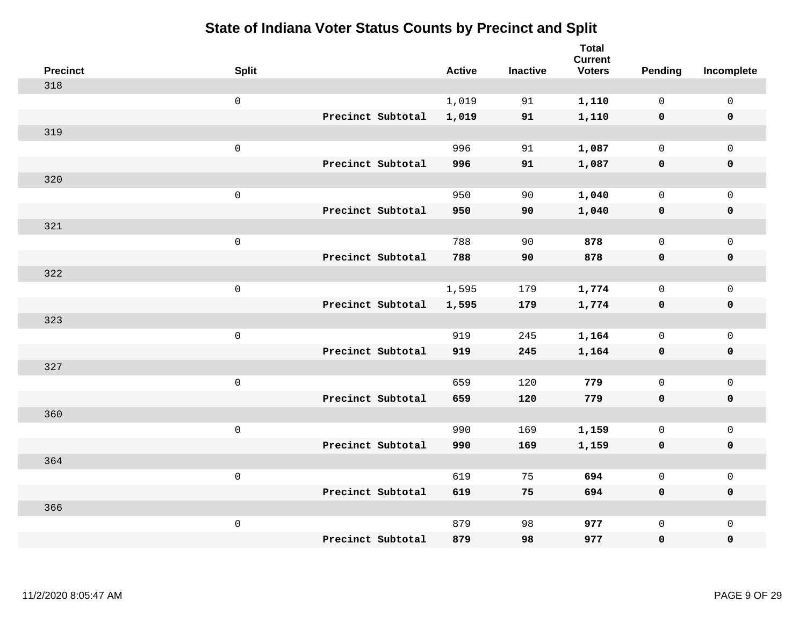| <b>Precinct</b> | <b>Split</b>        |                   | <b>Active</b> | <b>Inactive</b> | <b>Total</b><br><b>Current</b><br><b>Voters</b> | Pending      | Incomplete          |
|-----------------|---------------------|-------------------|---------------|-----------------|-------------------------------------------------|--------------|---------------------|
| 318             |                     |                   |               |                 |                                                 |              |                     |
|                 | $\mathsf{O}\xspace$ |                   | 1,019         | 91              | 1,110                                           | $\mathbf 0$  | $\mathsf{O}\xspace$ |
|                 |                     | Precinct Subtotal | 1,019         | 91              | 1,110                                           | $\mathbf 0$  | $\pmb{0}$           |
| 319             |                     |                   |               |                 |                                                 |              |                     |
|                 | $\mathsf 0$         |                   | 996           | 91              | 1,087                                           | $\mathbf 0$  | $\mathbf{0}$        |
|                 |                     | Precinct Subtotal | 996           | 91              | 1,087                                           | $\mathbf 0$  | $\pmb{0}$           |
| 320             |                     |                   |               |                 |                                                 |              |                     |
|                 | $\mathsf 0$         |                   | 950           | 90              | 1,040                                           | $\mathsf{O}$ | $\mathsf{O}$        |
|                 |                     | Precinct Subtotal | 950           | 90              | 1,040                                           | 0            | 0                   |
| 321             |                     |                   |               |                 |                                                 |              |                     |
|                 | $\mathsf 0$         |                   | 788           | 90              | 878                                             | $\mathbf 0$  | $\mathsf{O}\xspace$ |
|                 |                     | Precinct Subtotal | 788           | 90              | 878                                             | $\mathbf 0$  | 0                   |
| 322             |                     |                   |               |                 |                                                 |              |                     |
|                 | $\mathsf 0$         |                   | 1,595         | 179             | 1,774                                           | $\mathbf 0$  | $\mathsf{O}\xspace$ |
|                 |                     | Precinct Subtotal | 1,595         | 179             | 1,774                                           | 0            | 0                   |
| 323             |                     |                   |               |                 |                                                 |              |                     |
|                 | $\mathsf{O}\xspace$ |                   | 919           | 245             | 1,164                                           | $\mathbf 0$  | $\mathsf{O}\xspace$ |
|                 |                     | Precinct Subtotal | 919           | 245             | 1,164                                           | $\mathbf 0$  | 0                   |
| 327             |                     |                   |               |                 |                                                 |              |                     |
|                 | $\mathsf 0$         |                   | 659           | 120             | 779                                             | $\mathbf 0$  | $\mathsf{O}$        |
|                 |                     | Precinct Subtotal | 659           | 120             | 779                                             | 0            | 0                   |
| 360             |                     |                   |               |                 |                                                 |              |                     |
|                 | $\mathsf 0$         |                   | 990           | 169             | 1,159                                           | $\mathbf 0$  | $\mathsf{O}\xspace$ |
|                 |                     | Precinct Subtotal | 990           | 169             | 1,159                                           | 0            | 0                   |
| 364             |                     |                   |               |                 |                                                 |              |                     |
|                 | $\mathsf 0$         |                   | 619           | 75              | 694                                             | $\mathbf 0$  | $\mathsf{O}\xspace$ |
|                 |                     | Precinct Subtotal | 619           | 75              | 694                                             | 0            | 0                   |
| 366             |                     |                   |               |                 |                                                 |              |                     |
|                 | $\mathsf 0$         |                   | 879           | 98              | 977                                             | $\mathsf{O}$ | $\mathsf{O}$        |
|                 |                     | Precinct Subtotal | 879           | 98              | 977                                             | 0            | 0                   |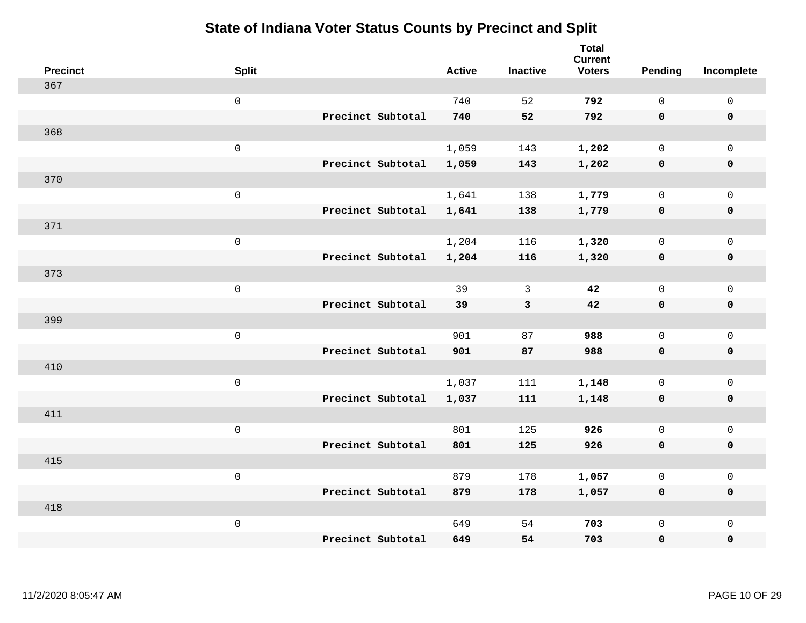| <b>Precinct</b> | <b>Split</b>        |                   | <b>Active</b> | <b>Inactive</b> | <b>Total</b><br><b>Current</b><br><b>Voters</b> | <b>Pending</b> | Incomplete          |
|-----------------|---------------------|-------------------|---------------|-----------------|-------------------------------------------------|----------------|---------------------|
| 367             |                     |                   |               |                 |                                                 |                |                     |
|                 | $\mathsf{O}\xspace$ |                   | 740           | 52              | 792                                             | $\mathsf{O}$   | $\mathsf 0$         |
|                 |                     | Precinct Subtotal | 740           | 52              | 792                                             | $\mathbf 0$    | $\mathbf 0$         |
| 368             |                     |                   |               |                 |                                                 |                |                     |
|                 | $\mathbf 0$         |                   | 1,059         | 143             | 1,202                                           | $\mathbf 0$    | $\mathbf 0$         |
|                 |                     | Precinct Subtotal | 1,059         | 143             | 1,202                                           | $\mathbf 0$    | $\mathbf 0$         |
| 370             |                     |                   |               |                 |                                                 |                |                     |
|                 | $\mathsf 0$         |                   | 1,641         | 138             | 1,779                                           | $\mathbf 0$    | $\mathsf{O}\xspace$ |
|                 |                     | Precinct Subtotal | 1,641         | 138             | 1,779                                           | $\mathbf 0$    | $\mathbf 0$         |
| 371             |                     |                   |               |                 |                                                 |                |                     |
|                 | $\mathbf 0$         |                   | 1,204         | 116             | 1,320                                           | $\mathsf{O}$   | $\mathbf 0$         |
|                 |                     | Precinct Subtotal | 1,204         | 116             | 1,320                                           | $\mathbf 0$    | $\mathbf 0$         |
| 373             |                     |                   |               |                 |                                                 |                |                     |
|                 | $\mathbf 0$         |                   | 39            | 3               | 42                                              | $\mathbf 0$    | $\mathsf{O}\xspace$ |
|                 |                     | Precinct Subtotal | 39            | $\mathbf{3}$    | 42                                              | $\mathbf 0$    | $\mathbf 0$         |
| 399             |                     |                   |               |                 |                                                 |                |                     |
|                 | $\mathbf 0$         |                   | 901           | 87              | 988                                             | $\mathbf 0$    | $\mathsf{O}\xspace$ |
|                 |                     | Precinct Subtotal | 901           | 87              | 988                                             | $\mathbf 0$    | $\mathbf 0$         |
| 410             |                     |                   |               |                 |                                                 |                |                     |
|                 | $\mathbf 0$         |                   | 1,037         | 111             | 1,148                                           | 0              | $\mathbf 0$         |
|                 |                     | Precinct Subtotal | 1,037         | 111             | 1,148                                           | 0              | 0                   |
| 411             |                     |                   |               |                 |                                                 |                |                     |
|                 | $\mathbf 0$         |                   | 801           | 125             | 926                                             | $\mathbf 0$    | $\mathbf 0$         |
|                 |                     | Precinct Subtotal | 801           | 125             | 926                                             | $\mathbf 0$    | $\pmb{0}$           |
| 415             |                     |                   |               |                 |                                                 |                |                     |
|                 | $\mathbf 0$         |                   | 879           | 178             | 1,057                                           | $\mathbf 0$    | $\mathbf 0$         |
|                 |                     | Precinct Subtotal | 879           | 178             | 1,057                                           | $\mathbf 0$    | $\mathbf 0$         |
| 418             |                     |                   |               |                 |                                                 |                |                     |
|                 | $\mathbf 0$         |                   | 649           | 54              | 703                                             | $\mathsf{O}$   | $\mathbf 0$         |
|                 |                     | Precinct Subtotal | 649           | 54              | 703                                             | 0              | $\pmb{0}$           |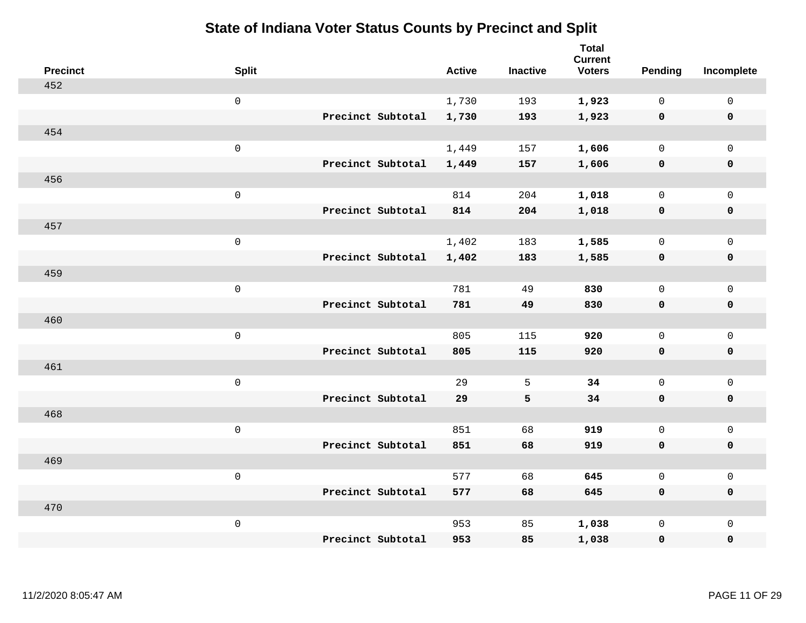| <b>Precinct</b> | <b>Split</b> |                   | <b>Active</b> | <b>Inactive</b> | <b>Total</b><br><b>Current</b><br><b>Voters</b> | Pending      | Incomplete          |
|-----------------|--------------|-------------------|---------------|-----------------|-------------------------------------------------|--------------|---------------------|
| 452             |              |                   |               |                 |                                                 |              |                     |
|                 | $\mathbf 0$  |                   | 1,730         | 193             | 1,923                                           | $\mathbf 0$  | $\mathsf{O}$        |
|                 |              | Precinct Subtotal | 1,730         | 193             | 1,923                                           | $\mathbf 0$  | $\mathbf 0$         |
| 454             |              |                   |               |                 |                                                 |              |                     |
|                 | $\mathbf 0$  |                   | 1,449         | 157             | 1,606                                           | $\mathbf 0$  | $\mathsf{O}$        |
|                 |              | Precinct Subtotal | 1,449         | 157             | 1,606                                           | 0            | 0                   |
| 456             |              |                   |               |                 |                                                 |              |                     |
|                 | $\mathbf 0$  |                   | 814           | 204             | 1,018                                           | $\mathbf 0$  | $\mathsf{O}\xspace$ |
|                 |              | Precinct Subtotal | 814           | 204             | 1,018                                           | 0            | 0                   |
| 457             |              |                   |               |                 |                                                 |              |                     |
|                 | $\mathbf 0$  |                   | 1,402         | 183             | 1,585                                           | $\mathbf 0$  | $\mathsf{O}\xspace$ |
|                 |              | Precinct Subtotal | 1,402         | 183             | 1,585                                           | $\mathbf 0$  | 0                   |
| 459             |              |                   |               |                 |                                                 |              |                     |
|                 | $\mathbf 0$  |                   | 781           | 49              | 830                                             | $\mathbf 0$  | $\mathbf 0$         |
|                 |              | Precinct Subtotal | 781           | 49              | 830                                             | 0            | 0                   |
| 460             |              |                   |               |                 |                                                 |              |                     |
|                 | $\mathbf 0$  |                   | 805           | 115             | 920                                             | $\mathsf{O}$ | $\mathsf{O}$        |
|                 |              | Precinct Subtotal | 805           | 115             | 920                                             | 0            | 0                   |
| 461             |              |                   |               |                 |                                                 |              |                     |
|                 | $\mathbf 0$  |                   | 29            | 5               | 34                                              | $\mathsf{O}$ | $\mathsf{O}$        |
|                 |              | Precinct Subtotal | 29            | 5               | 34                                              | 0            | 0                   |
| 468             |              |                   |               |                 |                                                 |              |                     |
|                 | $\mathbf 0$  |                   | 851           | 68              | 919                                             | $\mathsf{O}$ | $\mathsf{O}\xspace$ |
|                 |              | Precinct Subtotal | 851           | 68              | 919                                             | 0            | 0                   |
| 469             |              |                   |               |                 |                                                 |              |                     |
|                 | $\mathbf 0$  |                   | 577           | 68              | 645                                             | $\mathbf 0$  | $\mathsf{O}\xspace$ |
|                 |              | Precinct Subtotal | 577           | 68              | 645                                             | 0            | 0                   |
| 470             |              |                   |               |                 |                                                 |              |                     |
|                 | $\mathbf 0$  |                   | 953           | 85              | 1,038                                           | $\mathsf{O}$ | $\mathsf{O}$        |
|                 |              | Precinct Subtotal | 953           | 85              | 1,038                                           | 0            | 0                   |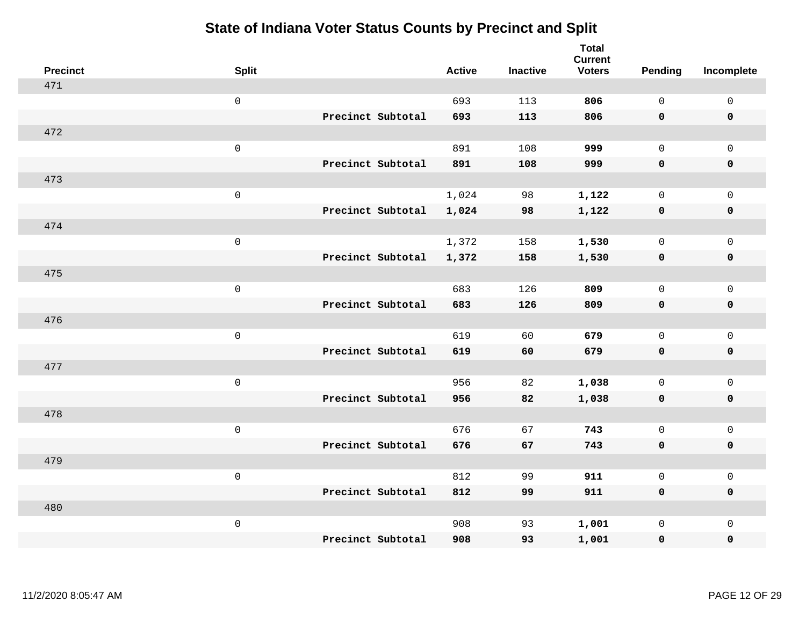| <b>Precinct</b> | <b>Split</b>        |                   | <b>Active</b> | <b>Inactive</b> | <b>Total</b><br><b>Current</b><br><b>Voters</b> | Pending      | Incomplete          |
|-----------------|---------------------|-------------------|---------------|-----------------|-------------------------------------------------|--------------|---------------------|
| 471             |                     |                   |               |                 |                                                 |              |                     |
|                 | $\mathsf 0$         |                   | 693           | 113             | 806                                             | $\mathbf 0$  | $\mathsf{O}\xspace$ |
|                 |                     | Precinct Subtotal | 693           | 113             | 806                                             | $\mathbf 0$  | $\mathbf 0$         |
| 472             |                     |                   |               |                 |                                                 |              |                     |
|                 | $\mathsf 0$         |                   | 891           | 108             | 999                                             | $\mathbf 0$  | $\mathsf{O}$        |
|                 |                     | Precinct Subtotal | 891           | 108             | 999                                             | $\mathbf 0$  | 0                   |
| 473             |                     |                   |               |                 |                                                 |              |                     |
|                 | $\mathsf 0$         |                   | 1,024         | 98              | 1,122                                           | $\mathbf 0$  | $\mathsf{O}$        |
|                 |                     | Precinct Subtotal | 1,024         | 98              | 1,122                                           | $\mathbf 0$  | $\pmb{0}$           |
| 474             |                     |                   |               |                 |                                                 |              |                     |
|                 | $\mathsf 0$         |                   | 1,372         | 158             | 1,530                                           | $\mathbf 0$  | $\mathsf{O}\xspace$ |
|                 |                     | Precinct Subtotal | 1,372         | 158             | 1,530                                           | $\mathbf 0$  | $\pmb{0}$           |
| 475             |                     |                   |               |                 |                                                 |              |                     |
|                 | $\mathbf 0$         |                   | 683           | 126             | 809                                             | $\mathbf 0$  | $\mathsf{O}\xspace$ |
|                 |                     | Precinct Subtotal | 683           | 126             | 809                                             | 0            | $\pmb{0}$           |
| 476             |                     |                   |               |                 |                                                 |              |                     |
|                 | $\mathbf 0$         |                   | 619           | 60              | 679                                             | $\mathbf 0$  | $\mathsf{O}\xspace$ |
|                 |                     | Precinct Subtotal | 619           | 60              | 679                                             | $\mathbf 0$  | 0                   |
| 477             |                     |                   |               |                 |                                                 |              |                     |
|                 | $\mathbf 0$         |                   | 956           | 82              | 1,038                                           | $\mathbf 0$  | $\mathsf{O}\xspace$ |
|                 |                     | Precinct Subtotal | 956           | 82              | 1,038                                           | 0            | 0                   |
| 478             |                     |                   |               |                 |                                                 |              |                     |
|                 | $\mathsf{O}\xspace$ |                   | 676           | 67              | 743                                             | $\mathbf 0$  | $\mathsf{O}\xspace$ |
|                 |                     | Precinct Subtotal | 676           | 67              | 743                                             | 0            | 0                   |
| 479             |                     |                   |               |                 |                                                 |              |                     |
|                 | $\mathbf 0$         |                   | 812           | 99              | 911                                             | $\mathbf 0$  | $\mathsf{O}\xspace$ |
|                 |                     | Precinct Subtotal | 812           | 99              | 911                                             | 0            | 0                   |
| 480             |                     |                   |               |                 |                                                 |              |                     |
|                 | $\mathbf 0$         |                   | 908           | 93              | 1,001                                           | $\mathsf{O}$ | $\mathsf{O}$        |
|                 |                     | Precinct Subtotal | 908           | 93              | 1,001                                           | 0            | 0                   |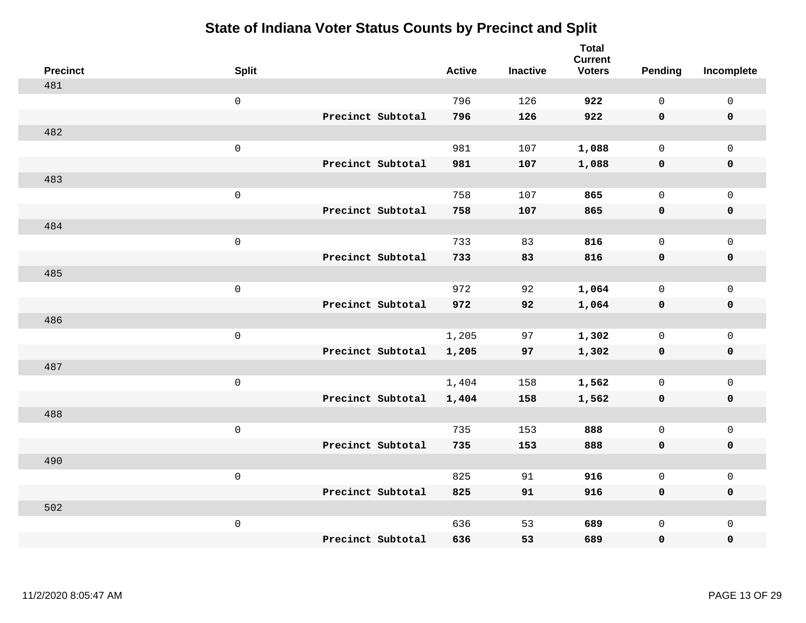| <b>Precinct</b> | <b>Split</b> |                   | <b>Active</b> | <b>Inactive</b> | <b>Total</b><br><b>Current</b><br><b>Voters</b> | <b>Pending</b> | Incomplete   |
|-----------------|--------------|-------------------|---------------|-----------------|-------------------------------------------------|----------------|--------------|
| 481             |              |                   |               |                 |                                                 |                |              |
|                 | $\mathsf 0$  |                   | 796           | 126             | 922                                             | $\mathbf 0$    | $\mathsf 0$  |
|                 |              | Precinct Subtotal | 796           | 126             | 922                                             | $\mathbf 0$    | $\mathbf 0$  |
| 482             |              |                   |               |                 |                                                 |                |              |
|                 | $\mathsf 0$  |                   | 981           | 107             | 1,088                                           | 0              | $\mathbf 0$  |
|                 |              | Precinct Subtotal | 981           | 107             | 1,088                                           | 0              | $\mathbf 0$  |
| 483             |              |                   |               |                 |                                                 |                |              |
|                 | $\mathsf 0$  |                   | 758           | 107             | 865                                             | $\mathbf 0$    | $\mathbf 0$  |
|                 |              | Precinct Subtotal | 758           | 107             | 865                                             | 0              | $\mathbf 0$  |
| 484             |              |                   |               |                 |                                                 |                |              |
|                 | $\mathsf 0$  |                   | 733           | 83              | 816                                             | $\mathbf 0$    | $\mathsf{O}$ |
|                 |              | Precinct Subtotal | 733           | 83              | 816                                             | $\mathbf 0$    | $\mathbf 0$  |
| 485             |              |                   |               |                 |                                                 |                |              |
|                 | $\mathsf 0$  |                   | 972           | 92              | 1,064                                           | $\mathbf 0$    | $\mathbf 0$  |
|                 |              | Precinct Subtotal | 972           | 92              | 1,064                                           | 0              | $\mathbf 0$  |
| 486             |              |                   |               |                 |                                                 |                |              |
|                 | $\mathsf 0$  |                   | 1,205         | 97              | 1,302                                           | 0              | $\mathsf{O}$ |
|                 |              | Precinct Subtotal | 1,205         | 97              | 1,302                                           | 0              | $\mathbf 0$  |
| 487             |              |                   |               |                 |                                                 |                |              |
|                 | $\mathsf 0$  |                   | 1,404         | 158             | 1,562                                           | $\mathbf 0$    | $\mathbf 0$  |
|                 |              | Precinct Subtotal | 1,404         | 158             | 1,562                                           | 0              | $\mathbf 0$  |
| 488             |              |                   |               |                 |                                                 |                |              |
|                 | $\mathsf 0$  |                   | 735           | 153             | 888                                             | 0              | $\mathsf{O}$ |
|                 |              | Precinct Subtotal | 735           | 153             | 888                                             | 0              | $\mathbf 0$  |
| 490             |              |                   |               |                 |                                                 |                |              |
|                 | $\mathsf 0$  |                   | 825           | 91              | 916                                             | 0              | $\mathbf 0$  |
|                 |              | Precinct Subtotal | 825           | 91              | 916                                             | 0              | $\mathbf 0$  |
| 502             |              |                   |               |                 |                                                 |                |              |
|                 | $\mathsf 0$  |                   | 636           | 53              | 689                                             | 0              | $\mathbf 0$  |
|                 |              | Precinct Subtotal | 636           | 53              | 689                                             | 0              | 0            |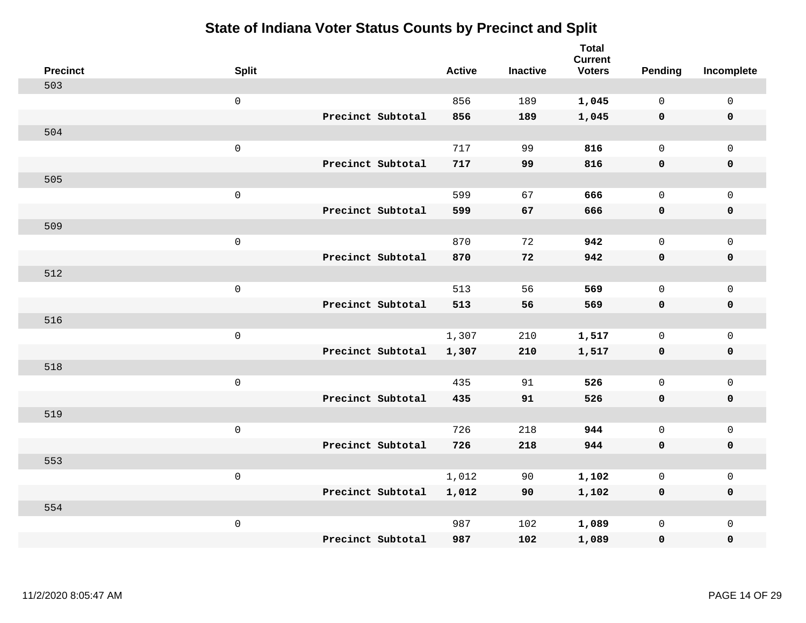| <b>Precinct</b> | <b>Split</b>        |                   | <b>Active</b> | <b>Inactive</b> | <b>Total</b><br><b>Current</b><br><b>Voters</b> | <b>Pending</b> | Incomplete   |
|-----------------|---------------------|-------------------|---------------|-----------------|-------------------------------------------------|----------------|--------------|
| 503             |                     |                   |               |                 |                                                 |                |              |
|                 | $\mathsf{O}\xspace$ |                   | 856           | 189             | 1,045                                           | $\mathbf{0}$   | $\mathbf 0$  |
|                 |                     | Precinct Subtotal | 856           | 189             | 1,045                                           | $\mathbf 0$    | $\mathbf 0$  |
| 504             |                     |                   |               |                 |                                                 |                |              |
|                 | $\mathsf 0$         |                   | 717           | 99              | 816                                             | $\mathbf{0}$   | $\mathbf 0$  |
|                 |                     | Precinct Subtotal | 717           | 99              | 816                                             | $\mathbf 0$    | $\pmb{0}$    |
| 505             |                     |                   |               |                 |                                                 |                |              |
|                 | $\mathsf 0$         |                   | 599           | 67              | 666                                             | $\mathbf{0}$   | $\mathsf{O}$ |
|                 |                     | Precinct Subtotal | 599           | 67              | 666                                             | 0              | $\mathbf 0$  |
| 509             |                     |                   |               |                 |                                                 |                |              |
|                 | $\mathsf{O}\xspace$ |                   | 870           | 72              | 942                                             | $\mathbf{0}$   | $\mathsf{O}$ |
|                 |                     | Precinct Subtotal | 870           | 72              | 942                                             | $\mathbf 0$    | $\pmb{0}$    |
| 512             |                     |                   |               |                 |                                                 |                |              |
|                 | $\mathsf 0$         |                   | 513           | 56              | 569                                             | $\mathbf{0}$   | $\mathbf 0$  |
|                 |                     | Precinct Subtotal | 513           | 56              | 569                                             | 0              | $\mathbf 0$  |
| 516             |                     |                   |               |                 |                                                 |                |              |
|                 | $\mathsf{O}\xspace$ |                   | 1,307         | 210             | 1,517                                           | $\mathbf{0}$   | $\mathbf 0$  |
|                 |                     | Precinct Subtotal | 1,307         | 210             | 1,517                                           | $\mathbf 0$    | $\mathbf 0$  |
| 518             |                     |                   |               |                 |                                                 |                |              |
|                 | $\mathsf 0$         |                   | 435           | 91              | 526                                             | $\mathbf{0}$   | $\mathbf 0$  |
|                 |                     | Precinct Subtotal | 435           | 91              | 526                                             | 0              | $\mathbf 0$  |
| 519             |                     |                   |               |                 |                                                 |                |              |
|                 | $\mathsf 0$         |                   | 726           | 218             | 944                                             | 0              | $\mathsf{O}$ |
|                 |                     | Precinct Subtotal | 726           | 218             | 944                                             | 0              | 0            |
| 553             |                     |                   |               |                 |                                                 |                |              |
|                 | $\mathsf 0$         |                   | 1,012         | 90              | 1,102                                           | 0              | $\mathbf 0$  |
|                 |                     | Precinct Subtotal | 1,012         | 90              | 1,102                                           | 0              | 0            |
| 554             |                     |                   |               |                 |                                                 |                |              |
|                 | $\mathsf 0$         |                   | 987           | 102             | 1,089                                           | 0              | $\mathbf 0$  |
|                 |                     | Precinct Subtotal | 987           | 102             | 1,089                                           | 0              | $\mathbf 0$  |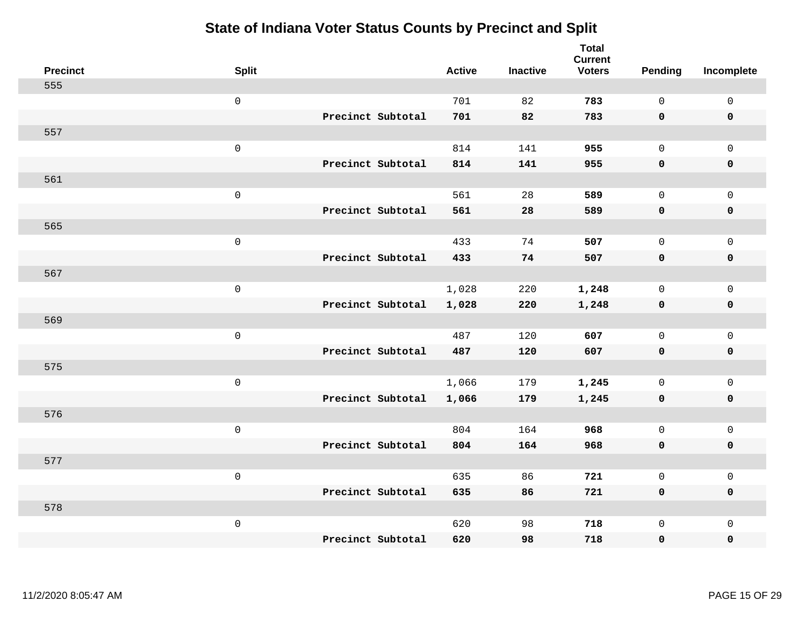| <b>Precinct</b> | <b>Split</b>        |                   | <b>Active</b> | <b>Inactive</b> | <b>Total</b><br><b>Current</b><br><b>Voters</b> | Pending      | Incomplete  |
|-----------------|---------------------|-------------------|---------------|-----------------|-------------------------------------------------|--------------|-------------|
| 555             |                     |                   |               |                 |                                                 |              |             |
|                 | $\mathsf{O}\xspace$ |                   | 701           | 82              | 783                                             | $\mathsf{O}$ | $\mathbf 0$ |
|                 |                     | Precinct Subtotal | 701           | 82              | 783                                             | $\mathbf 0$  | $\mathbf 0$ |
| 557             |                     |                   |               |                 |                                                 |              |             |
|                 | $\mathsf 0$         |                   | 814           | 141             | 955                                             | $\mathbf 0$  | $\mathbf 0$ |
|                 |                     | Precinct Subtotal | 814           | 141             | 955                                             | $\mathbf 0$  | $\mathbf 0$ |
| 561             |                     |                   |               |                 |                                                 |              |             |
|                 | $\mathsf 0$         |                   | 561           | 28              | 589                                             | $\Omega$     | $\mathbf 0$ |
|                 |                     | Precinct Subtotal | 561           | 28              | 589                                             | $\mathbf 0$  | $\mathbf 0$ |
| 565             |                     |                   |               |                 |                                                 |              |             |
|                 | $\mathsf 0$         |                   | 433           | 74              | 507                                             | $\mathbf 0$  | $\mathbf 0$ |
|                 |                     | Precinct Subtotal | 433           | 74              | 507                                             | $\mathbf 0$  | $\mathbf 0$ |
| 567             |                     |                   |               |                 |                                                 |              |             |
|                 | $\mathsf 0$         |                   | 1,028         | 220             | 1,248                                           | $\mathbf 0$  | $\mathbf 0$ |
|                 |                     | Precinct Subtotal | 1,028         | 220             | 1,248                                           | 0            | $\mathbf 0$ |
| 569             |                     |                   |               |                 |                                                 |              |             |
|                 | $\mathsf 0$         |                   | 487           | 120             | 607                                             | $\mathbf 0$  | $\mathbf 0$ |
|                 |                     | Precinct Subtotal | 487           | 120             | 607                                             | $\mathbf 0$  | $\mathbf 0$ |
| 575             |                     |                   |               |                 |                                                 |              |             |
|                 | $\mathsf 0$         |                   | 1,066         | 179             | 1,245                                           | 0            | $\mathbf 0$ |
|                 |                     | Precinct Subtotal | 1,066         | 179             | 1,245                                           | 0            | 0           |
| 576             |                     |                   |               |                 |                                                 |              |             |
|                 | $\mathsf 0$         |                   | 804           | 164             | 968                                             | $\mathbf 0$  | $\mathbf 0$ |
|                 |                     | Precinct Subtotal | 804           | 164             | 968                                             | $\mathbf 0$  | $\pmb{0}$   |
| 577             |                     |                   |               |                 |                                                 |              |             |
|                 | $\mathbf 0$         |                   | 635           | 86              | 721                                             | $\mathbf 0$  | $\mathbf 0$ |
|                 |                     | Precinct Subtotal | 635           | 86              | 721                                             | 0            | $\mathbf 0$ |
| 578             |                     |                   |               |                 |                                                 |              |             |
|                 | $\mathsf 0$         |                   | 620           | 98              | 718                                             | $\mathbf 0$  | $\mathbf 0$ |
|                 |                     | Precinct Subtotal | 620           | 98              | 718                                             | 0            | 0           |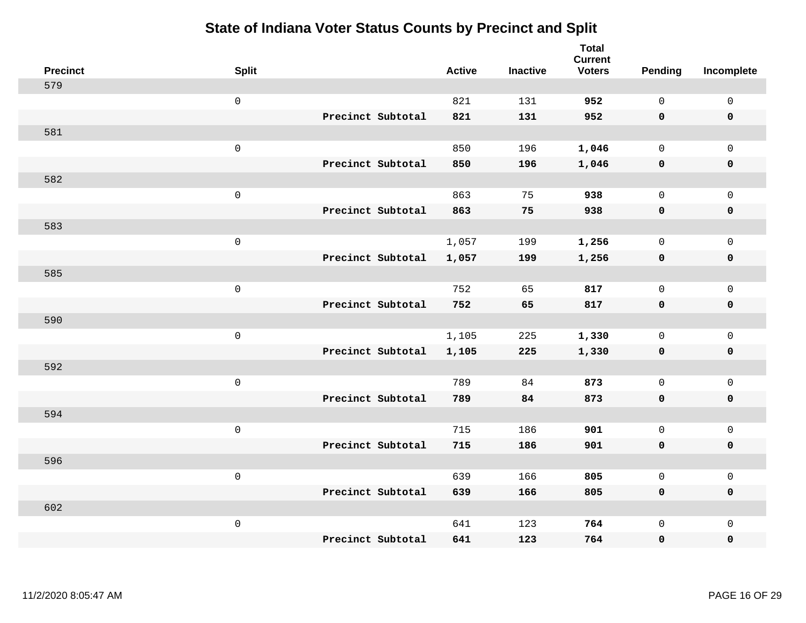| <b>Precinct</b> | <b>Split</b>        | <b>Active</b> | <b>Inactive</b> | <b>Total</b><br><b>Current</b><br><b>Voters</b> | Pending      | Incomplete          |
|-----------------|---------------------|---------------|-----------------|-------------------------------------------------|--------------|---------------------|
| 579             |                     |               |                 |                                                 |              |                     |
|                 | $\mathsf{O}\xspace$ | 821           | 131             | 952                                             | $\mathbf 0$  | $\mathsf{O}\xspace$ |
|                 | Precinct Subtotal   | 821           | 131             | 952                                             | $\mathbf 0$  | $\mathbf 0$         |
| 581             |                     |               |                 |                                                 |              |                     |
|                 | $\mathsf{O}\xspace$ | 850           | 196             | 1,046                                           | $\mathbf 0$  | $\mathsf{O}$        |
|                 | Precinct Subtotal   | 850           | 196             | 1,046                                           | 0            | 0                   |
| 582             |                     |               |                 |                                                 |              |                     |
|                 | $\mathsf 0$         | 863           | 75              | 938                                             | $\mathbf 0$  | $\mathsf{O}$        |
|                 | Precinct Subtotal   | 863           | 75              | 938                                             | $\mathbf 0$  | 0                   |
| 583             |                     |               |                 |                                                 |              |                     |
|                 | $\mathsf{O}\xspace$ | 1,057         | 199             | 1,256                                           | $\mathbf 0$  | $\mathsf{O}\xspace$ |
|                 | Precinct Subtotal   | 1,057         | 199             | 1,256                                           | $\mathbf 0$  | $\pmb{0}$           |
| 585             |                     |               |                 |                                                 |              |                     |
|                 | $\mathsf 0$         | 752           | 65              | 817                                             | $\mathbf 0$  | $\mathbf 0$         |
|                 | Precinct Subtotal   | 752           | 65              | 817                                             | 0            | $\mathbf 0$         |
| 590             |                     |               |                 |                                                 |              |                     |
|                 | $\mathsf{O}\xspace$ | 1,105         | 225             | 1,330                                           | $\mathsf{O}$ | $\mathsf{O}$        |
|                 | Precinct Subtotal   | 1,105         | 225             | 1,330                                           | $\mathbf 0$  | 0                   |
| 592             |                     |               |                 |                                                 |              |                     |
|                 | $\mathsf{O}\xspace$ | 789           | 84              | 873                                             | $\mathbf 0$  | $\mathsf{O}\xspace$ |
|                 | Precinct Subtotal   | 789           | 84              | 873                                             | 0            | 0                   |
| 594             |                     |               |                 |                                                 |              |                     |
|                 | $\mathsf 0$         | 715           | 186             | 901                                             | $\mathbf 0$  | $\mathsf{O}$        |
|                 | Precinct Subtotal   | 715           | 186             | 901                                             | 0            | 0                   |
| 596             |                     |               |                 |                                                 |              |                     |
|                 | $\mathsf 0$         | 639           | 166             | 805                                             | 0            | $\mathsf{O}$        |
|                 | Precinct Subtotal   | 639           | 166             | 805                                             | $\mathbf 0$  | 0                   |
| 602             |                     |               |                 |                                                 |              |                     |
|                 | $\mathsf 0$         | 641           | 123             | 764                                             | $\mathsf{O}$ | $\mathsf{O}$        |
|                 | Precinct Subtotal   | 641           | 123             | 764                                             | 0            | 0                   |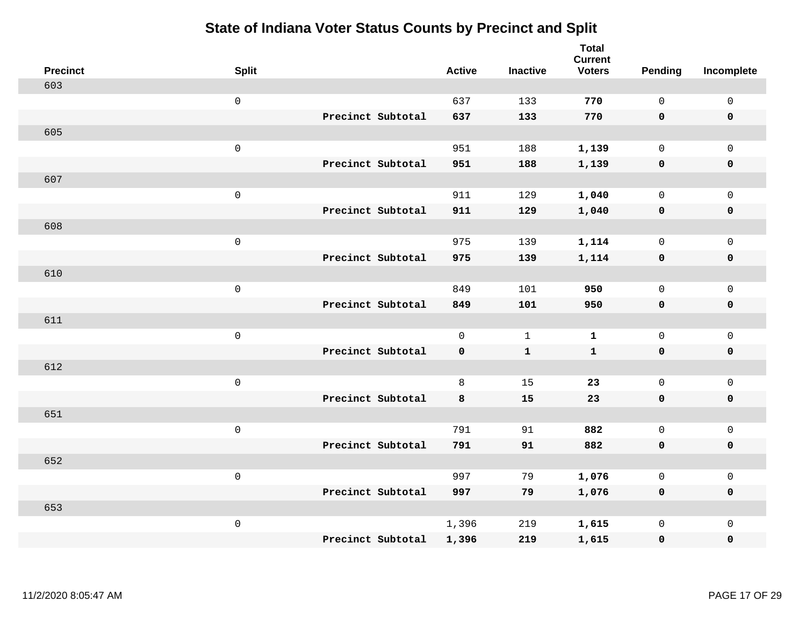| <b>Precinct</b> | <b>Split</b>        |                   | <b>Active</b> | <b>Inactive</b> | <b>Total</b><br><b>Current</b><br><b>Voters</b> | Pending      | Incomplete          |
|-----------------|---------------------|-------------------|---------------|-----------------|-------------------------------------------------|--------------|---------------------|
| 603             |                     |                   |               |                 |                                                 |              |                     |
|                 | $\mathsf{O}\xspace$ |                   | 637           | 133             | 770                                             | $\mathbf 0$  | $\mathsf{O}\xspace$ |
|                 |                     | Precinct Subtotal | 637           | 133             | 770                                             | $\mathbf 0$  | $\pmb{0}$           |
| 605             |                     |                   |               |                 |                                                 |              |                     |
|                 | $\mathsf 0$         |                   | 951           | 188             | 1,139                                           | $\mathbf 0$  | $\mathbf{0}$        |
|                 |                     | Precinct Subtotal | 951           | 188             | 1,139                                           | $\mathbf 0$  | $\pmb{0}$           |
| 607             |                     |                   |               |                 |                                                 |              |                     |
|                 | $\mathsf 0$         |                   | 911           | 129             | 1,040                                           | $\mathsf{O}$ | $\mathsf{O}\xspace$ |
|                 |                     | Precinct Subtotal | 911           | 129             | 1,040                                           | 0            | 0                   |
| 608             |                     |                   |               |                 |                                                 |              |                     |
|                 | $\mathsf{O}\xspace$ |                   | 975           | 139             | 1,114                                           | $\mathbf 0$  | $\mathsf{O}\xspace$ |
|                 |                     | Precinct Subtotal | 975           | 139             | 1,114                                           | $\mathbf 0$  | 0                   |
| 610             |                     |                   |               |                 |                                                 |              |                     |
|                 | $\mathsf{O}\xspace$ |                   | 849           | 101             | 950                                             | $\mathbf 0$  | $\mathsf{O}\xspace$ |
|                 |                     | Precinct Subtotal | 849           | 101             | 950                                             | 0            | 0                   |
| 611             |                     |                   |               |                 |                                                 |              |                     |
|                 | $\mathsf{O}\xspace$ |                   | $\mathbf 0$   | $\mathbf{1}$    | $\mathbf{1}$                                    | $\mathbf 0$  | $\mathsf{O}\xspace$ |
|                 |                     | Precinct Subtotal | $\mathbf 0$   | ${\bf 1}$       | $\mathbf{1}$                                    | $\mathbf 0$  | 0                   |
| 612             |                     |                   |               |                 |                                                 |              |                     |
|                 | $\mathsf{O}\xspace$ |                   | 8             | 15              | 23                                              | $\mathbf 0$  | $\mathsf{O}$        |
|                 |                     | Precinct Subtotal | 8             | 15              | 23                                              | 0            | 0                   |
| 651             |                     |                   |               |                 |                                                 |              |                     |
|                 | $\mathsf 0$         |                   | 791           | 91              | 882                                             | $\mathsf{O}$ | $\mathsf{O}$        |
|                 |                     | Precinct Subtotal | 791           | 91              | 882                                             | 0            | 0                   |
| 652             |                     |                   |               |                 |                                                 |              |                     |
|                 | $\mathsf 0$         |                   | 997           | 79              | 1,076                                           | $\mathsf{O}$ | $\mathsf{O}$        |
|                 |                     | Precinct Subtotal | 997           | 79              | 1,076                                           | 0            | 0                   |
| 653             |                     |                   |               |                 |                                                 |              |                     |
|                 | $\mathsf{O}\xspace$ |                   | 1,396         | 219             | 1,615                                           | $\mathsf{O}$ | $\mathsf{O}$        |
|                 |                     | Precinct Subtotal | 1,396         | 219             | 1,615                                           | 0            | 0                   |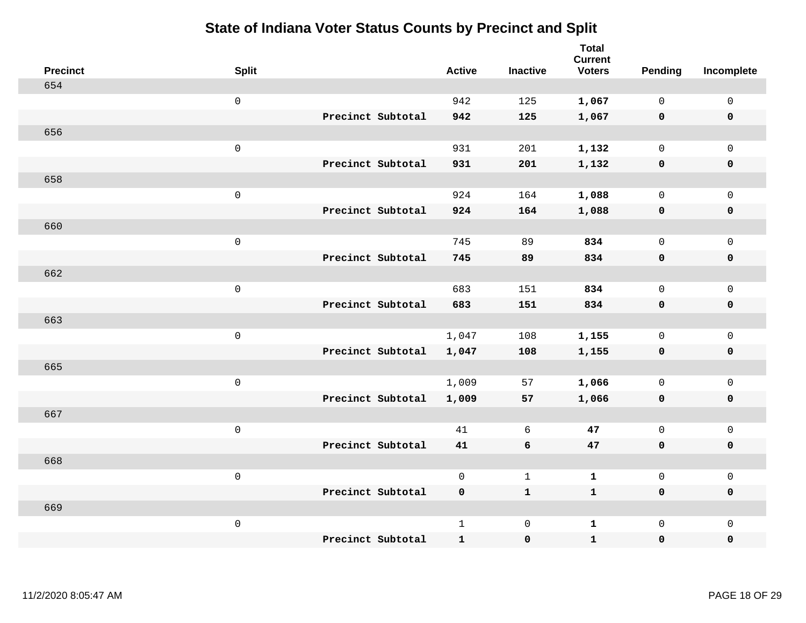| <b>Precinct</b> | <b>Split</b>        |                   | <b>Active</b> | <b>Inactive</b> | <b>Total</b><br><b>Current</b><br><b>Voters</b> | Pending      | Incomplete          |
|-----------------|---------------------|-------------------|---------------|-----------------|-------------------------------------------------|--------------|---------------------|
| 654             |                     |                   |               |                 |                                                 |              |                     |
|                 | $\mathsf 0$         |                   | 942           | 125             | 1,067                                           | $\mathbf 0$  | $\mathsf{O}\xspace$ |
|                 |                     | Precinct Subtotal | 942           | 125             | 1,067                                           | $\mathbf 0$  | $\pmb{0}$           |
| 656             |                     |                   |               |                 |                                                 |              |                     |
|                 | $\mathsf 0$         |                   | 931           | 201             | 1,132                                           | $\mathbf 0$  | $\mathsf{O}\xspace$ |
|                 |                     | Precinct Subtotal | 931           | 201             | 1,132                                           | $\mathbf 0$  | $\pmb{0}$           |
| 658             |                     |                   |               |                 |                                                 |              |                     |
|                 | $\mathsf 0$         |                   | 924           | 164             | 1,088                                           | $\mathsf{O}$ | $\mathsf 0$         |
|                 |                     | Precinct Subtotal | 924           | 164             | 1,088                                           | 0            | 0                   |
| 660             |                     |                   |               |                 |                                                 |              |                     |
|                 | $\mathbf 0$         |                   | 745           | 89              | 834                                             | $\mathsf{O}$ | $\mathsf{O}\xspace$ |
|                 |                     | Precinct Subtotal | 745           | 89              | 834                                             | $\mathbf 0$  | 0                   |
| 662             |                     |                   |               |                 |                                                 |              |                     |
|                 | $\mathbf 0$         |                   | 683           | 151             | 834                                             | $\mathbf 0$  | $\mathsf{O}\xspace$ |
|                 |                     | Precinct Subtotal | 683           | 151             | 834                                             | 0            | 0                   |
| 663             |                     |                   |               |                 |                                                 |              |                     |
|                 | $\mathsf{O}\xspace$ |                   | 1,047         | 108             | 1,155                                           | $\mathsf{O}$ | $\mathsf{O}\xspace$ |
|                 |                     | Precinct Subtotal | 1,047         | 108             | 1,155                                           | $\mathbf 0$  | 0                   |
| 665             |                     |                   |               |                 |                                                 |              |                     |
|                 | $\mathbf 0$         |                   | 1,009         | 57              | 1,066                                           | $\mathbf 0$  | $\mathsf{O}$        |
|                 |                     | Precinct Subtotal | 1,009         | 57              | 1,066                                           | $\mathbf 0$  | 0                   |
| 667             |                     |                   |               |                 |                                                 |              |                     |
|                 | $\mathsf{O}\xspace$ |                   | 41            | 6               | 47                                              | $\mathbf 0$  | $\mathsf{O}\xspace$ |
|                 |                     | Precinct Subtotal | 41            | 6               | 47                                              | 0            | 0                   |
| 668             |                     |                   |               |                 |                                                 |              |                     |
|                 | $\mathsf 0$         |                   | $\mathsf{O}$  | $\mathbf{1}$    | $\mathbf{1}$                                    | $\mathsf{O}$ | $\mathsf 0$         |
|                 |                     | Precinct Subtotal | 0             | $\mathbf{1}$    | $\mathbf 1$                                     | 0            | 0                   |
| 669             |                     |                   |               |                 |                                                 |              |                     |
|                 | $\mathbf 0$         |                   | $\mathbf{1}$  | $\mathbf 0$     | $\mathbf{1}$                                    | $\mathsf{O}$ | $\mathsf{O}$        |
|                 |                     | Precinct Subtotal | $\mathbf{1}$  | $\pmb{0}$       | $\mathbf{1}$                                    | 0            | $\pmb{0}$           |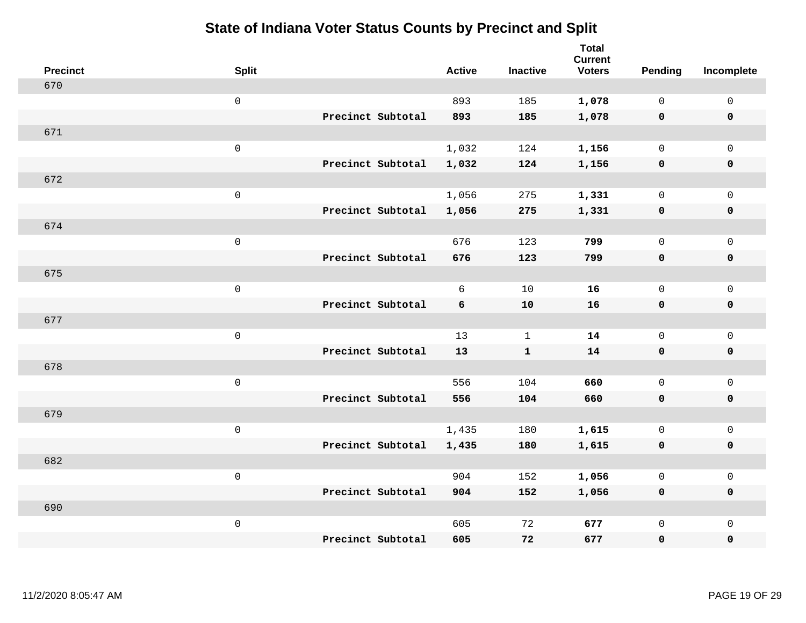| <b>Precinct</b> | <b>Split</b>        |                   | <b>Active</b> | <b>Inactive</b> | Total<br><b>Current</b><br><b>Voters</b> | <b>Pending</b> | Incomplete          |
|-----------------|---------------------|-------------------|---------------|-----------------|------------------------------------------|----------------|---------------------|
| 670             |                     |                   |               |                 |                                          |                |                     |
|                 | $\mathbf 0$         |                   | 893           | 185             | 1,078                                    | $\mathbf{0}$   | $\mathsf{O}$        |
|                 |                     | Precinct Subtotal | 893           | 185             | 1,078                                    | $\mathbf 0$    | $\mathbf 0$         |
| 671             |                     |                   |               |                 |                                          |                |                     |
|                 | $\mathsf{O}\xspace$ |                   | 1,032         | 124             | 1,156                                    | $\mathbf{0}$   | $\mathbf 0$         |
|                 |                     | Precinct Subtotal | 1,032         | 124             | 1,156                                    | $\mathbf 0$    | $\mathbf 0$         |
| 672             |                     |                   |               |                 |                                          |                |                     |
|                 | $\mathsf 0$         |                   | 1,056         | 275             | 1,331                                    | $\mathsf{O}$   | $\mathsf{O}$        |
|                 |                     | Precinct Subtotal | 1,056         | 275             | 1,331                                    | 0              | 0                   |
| 674             |                     |                   |               |                 |                                          |                |                     |
|                 | $\mathsf{O}\xspace$ |                   | 676           | 123             | 799                                      | $\mathsf{O}$   | $\mathsf{O}$        |
|                 |                     | Precinct Subtotal | 676           | 123             | 799                                      | $\mathbf 0$    | $\pmb{0}$           |
| 675             |                     |                   |               |                 |                                          |                |                     |
|                 | $\mathsf{O}\xspace$ |                   | 6             | 10              | 16                                       | $\mathsf{O}$   | $\mathsf{O}$        |
|                 |                     | Precinct Subtotal | 6             | 10              | 16                                       | 0              | $\mathbf 0$         |
| 677             |                     |                   |               |                 |                                          |                |                     |
|                 | $\mathsf{O}\xspace$ |                   | 13            | $\mathbf{1}$    | 14                                       | $\mathsf{O}$   | $\mathsf{O}\xspace$ |
|                 |                     | Precinct Subtotal | 13            | $\mathbf{1}$    | 14                                       | $\mathbf 0$    | $\mathbf 0$         |
| 678             |                     |                   |               |                 |                                          |                |                     |
|                 | $\mathsf{O}\xspace$ |                   | 556           | 104             | 660                                      | 0              | $\mathsf{O}\xspace$ |
|                 |                     | Precinct Subtotal | 556           | 104             | 660                                      | $\mathbf 0$    | $\mathbf 0$         |
| 679             |                     |                   |               |                 |                                          |                |                     |
|                 | $\mathsf{O}\xspace$ |                   | 1,435         | 180             | 1,615                                    | 0              | $\mathbf 0$         |
|                 |                     | Precinct Subtotal | 1,435         | 180             | 1,615                                    | $\mathbf 0$    | $\pmb{0}$           |
| 682             |                     |                   |               |                 |                                          |                |                     |
|                 | $\mathsf{O}\xspace$ |                   | 904           | 152             | 1,056                                    | $\mathsf{O}$   | $\mathsf{O}$        |
|                 |                     | Precinct Subtotal | 904           | 152             | 1,056                                    | 0              | $\mathbf 0$         |
| 690             |                     |                   |               |                 |                                          |                |                     |
|                 | $\mathsf{O}\xspace$ |                   | 605           | 72              | 677                                      | $\mathsf{O}$   | $\mathsf{O}$        |
|                 |                     | Precinct Subtotal | 605           | 72              | 677                                      | 0              | $\mathbf 0$         |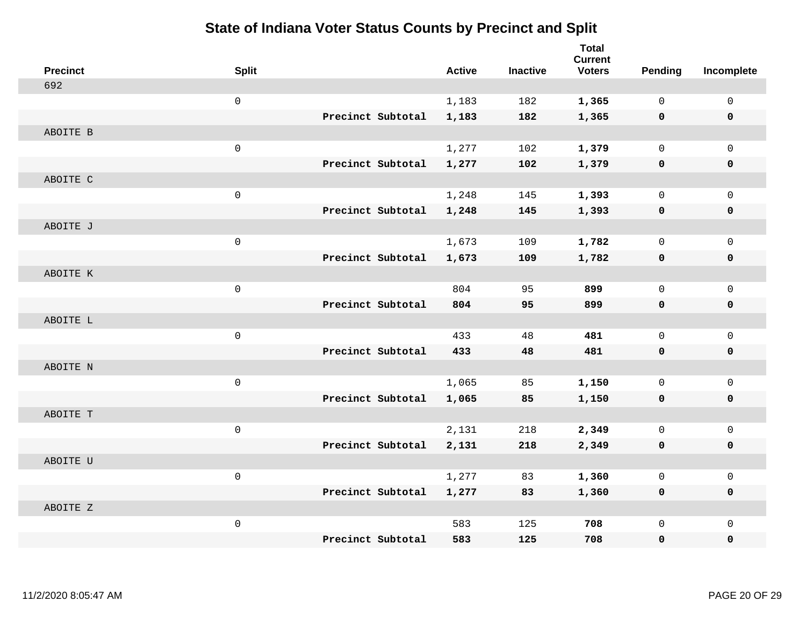| <b>Precinct</b> | <b>Split</b>        |                   | <b>Active</b> | <b>Inactive</b> | <b>Total</b><br><b>Current</b><br><b>Voters</b> | <b>Pending</b> | Incomplete   |
|-----------------|---------------------|-------------------|---------------|-----------------|-------------------------------------------------|----------------|--------------|
| 692             |                     |                   |               |                 |                                                 |                |              |
|                 | $\mathsf{O}\xspace$ |                   | 1,183         | 182             | 1,365                                           | $\mathbf 0$    | $\mathbf 0$  |
|                 |                     | Precinct Subtotal | 1,183         | 182             | 1,365                                           | $\mathbf 0$    | $\mathbf 0$  |
| ABOITE B        |                     |                   |               |                 |                                                 |                |              |
|                 | $\mathbf 0$         |                   | 1,277         | 102             | 1,379                                           | 0              | $\Omega$     |
|                 |                     | Precinct Subtotal | 1,277         | 102             | 1,379                                           | $\mathbf 0$    | $\mathbf 0$  |
| ABOITE C        |                     |                   |               |                 |                                                 |                |              |
|                 | $\mathsf 0$         |                   | 1,248         | 145             | 1,393                                           | 0              | $\mathbf{0}$ |
|                 |                     | Precinct Subtotal | 1,248         | 145             | 1,393                                           | 0              | $\mathbf 0$  |
| ABOITE J        |                     |                   |               |                 |                                                 |                |              |
|                 | $\mathsf{O}\xspace$ |                   | 1,673         | 109             | 1,782                                           | 0              | $\mathbf 0$  |
|                 |                     | Precinct Subtotal | 1,673         | 109             | 1,782                                           | 0              | $\mathbf 0$  |
| ABOITE K        |                     |                   |               |                 |                                                 |                |              |
|                 | $\mathsf{O}\xspace$ |                   | 804           | 95              | 899                                             | 0              | $\mathbf{0}$ |
|                 |                     | Precinct Subtotal | 804           | 95              | 899                                             | $\mathbf 0$    | $\mathbf 0$  |
| ABOITE L        |                     |                   |               |                 |                                                 |                |              |
|                 | $\mathbf 0$         |                   | 433           | 48              | 481                                             | 0              | $\mathbf 0$  |
|                 |                     | Precinct Subtotal | 433           | 48              | 481                                             | 0              | $\mathbf 0$  |
| ABOITE N        |                     |                   |               |                 |                                                 |                |              |
|                 | $\mathsf 0$         |                   | 1,065         | 85              | 1,150                                           | 0              | $\mathbf{0}$ |
|                 |                     | Precinct Subtotal | 1,065         | 85              | 1,150                                           | $\mathbf 0$    | $\mathbf 0$  |
| ABOITE T        |                     |                   |               |                 |                                                 |                |              |
|                 | $\mathsf{O}\xspace$ |                   | 2,131         | 218             | 2,349                                           | 0              | $\mathsf{O}$ |
|                 |                     | Precinct Subtotal | 2,131         | 218             | 2,349                                           | 0              | 0            |
| ABOITE U        |                     |                   |               |                 |                                                 |                |              |
|                 | $\mathsf 0$         |                   | 1,277         | 83              | 1,360                                           | 0              | $\mathbf 0$  |
|                 |                     | Precinct Subtotal | 1,277         | 83              | 1,360                                           | $\mathbf 0$    | 0            |
| ABOITE Z        |                     |                   |               |                 |                                                 |                |              |
|                 | $\mathsf{O}\xspace$ |                   | 583           | 125             | 708                                             | 0              | $\mathbf{0}$ |
|                 |                     | Precinct Subtotal | 583           | 125             | 708                                             | 0              | 0            |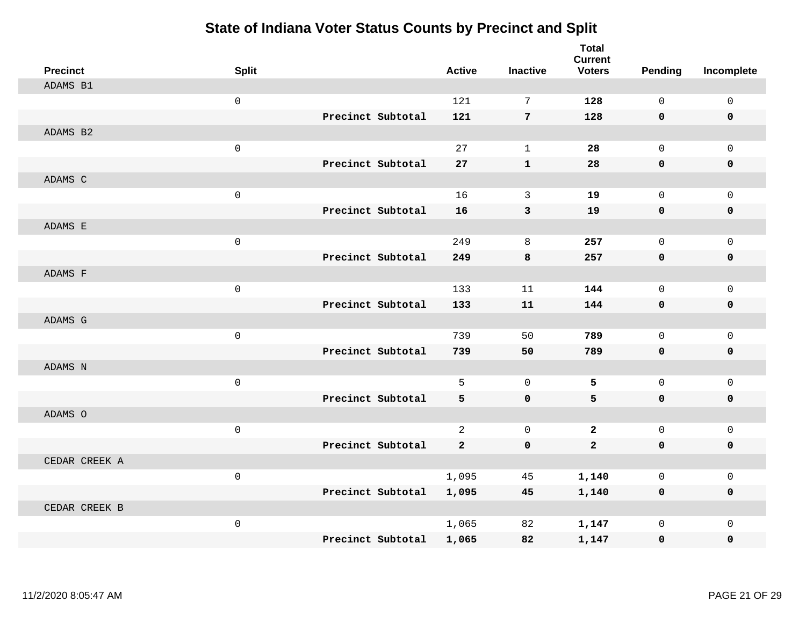| <b>Precinct</b> | <b>Split</b> |                   | <b>Active</b>  | <b>Inactive</b> | <b>Total</b><br><b>Current</b><br><b>Voters</b> | Pending      | Incomplete  |
|-----------------|--------------|-------------------|----------------|-----------------|-------------------------------------------------|--------------|-------------|
| ADAMS B1        |              |                   |                |                 |                                                 |              |             |
|                 | $\mathbf{0}$ |                   | 121            | 7               | 128                                             | $\Omega$     | $\mathbf 0$ |
|                 |              | Precinct Subtotal | 121            | $7\phantom{.0}$ | 128                                             | $\mathbf 0$  | $\mathbf 0$ |
| ADAMS B2        |              |                   |                |                 |                                                 |              |             |
|                 | $\mathsf 0$  |                   | 27             | $\mathbf{1}$    | 28                                              | $\mathbf 0$  | $\mathbf 0$ |
|                 |              | Precinct Subtotal | 27             | $\mathbf{1}$    | 28                                              | $\mathbf 0$  | 0           |
| ADAMS C         |              |                   |                |                 |                                                 |              |             |
|                 | $\mathsf 0$  |                   | 16             | 3               | 19                                              | $\mathbf 0$  | $\mathbf 0$ |
|                 |              | Precinct Subtotal | 16             | 3               | 19                                              | $\mathbf 0$  | $\mathbf 0$ |
| ADAMS E         |              |                   |                |                 |                                                 |              |             |
|                 | $\mathsf 0$  |                   | 249            | 8               | 257                                             | $\mathbf 0$  | $\mathbf 0$ |
|                 |              | Precinct Subtotal | 249            | 8               | 257                                             | $\mathbf 0$  | 0           |
| ADAMS F         |              |                   |                |                 |                                                 |              |             |
|                 | $\mathbf{0}$ |                   | 133            | 11              | 144                                             | $\mathbf 0$  | $\mathbf 0$ |
|                 |              | Precinct Subtotal | 133            | 11              | 144                                             | $\mathbf 0$  | 0           |
| ADAMS G         |              |                   |                |                 |                                                 |              |             |
|                 | $\mathsf 0$  |                   | 739            | 50              | 789                                             | $\mathbf 0$  | $\mathbf 0$ |
|                 |              | Precinct Subtotal | 739            | 50              | 789                                             | $\mathbf 0$  | 0           |
| ADAMS N         |              |                   |                |                 |                                                 |              |             |
|                 | $\mathbf 0$  |                   | 5              | $\mathbf 0$     | 5                                               | $\mathsf{O}$ | $\mathsf 0$ |
|                 |              | Precinct Subtotal | 5              | $\mathbf 0$     | 5                                               | $\mathbf 0$  | 0           |
| ADAMS O         |              |                   |                |                 |                                                 |              |             |
|                 | $\mathsf 0$  |                   | $\overline{a}$ | $\mathbf 0$     | $\mathbf{2}$                                    | $\mathbf 0$  | $\mathbf 0$ |
|                 |              | Precinct Subtotal | $\overline{2}$ | $\mathbf 0$     | $\mathbf{2}$                                    | $\mathbf 0$  | 0           |
| CEDAR CREEK A   |              |                   |                |                 |                                                 |              |             |
|                 | $\mathbf{0}$ |                   | 1,095          | 45              | 1,140                                           | $\mathbf 0$  | $\mathbf 0$ |
|                 |              | Precinct Subtotal | 1,095          | 45              | 1,140                                           | 0            | 0           |
| CEDAR CREEK B   |              |                   |                |                 |                                                 |              |             |
|                 | $\mathsf 0$  |                   | 1,065          | 82              | 1,147                                           | $\mathbf 0$  | $\mathbf 0$ |
|                 |              | Precinct Subtotal | 1,065          | 82              | 1,147                                           | $\mathbf 0$  | 0           |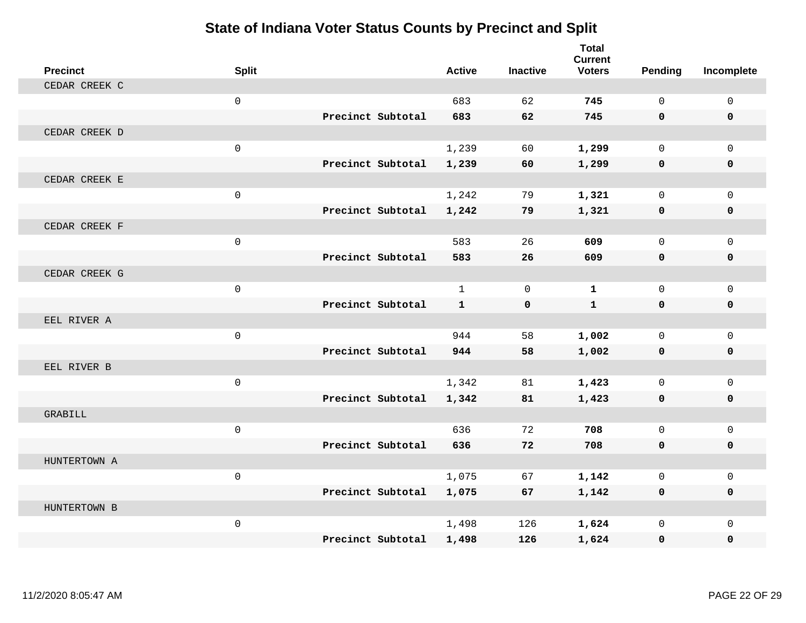| <b>Precinct</b> | <b>Split</b>        |                   | <b>Active</b> | <b>Inactive</b> | <b>Total</b><br><b>Current</b><br><b>Voters</b> | Pending      | Incomplete     |
|-----------------|---------------------|-------------------|---------------|-----------------|-------------------------------------------------|--------------|----------------|
| CEDAR CREEK C   |                     |                   |               |                 |                                                 |              |                |
|                 | $\mathbf 0$         |                   | 683           | 62              | 745                                             | $\Omega$     | $\mathbf 0$    |
|                 |                     | Precinct Subtotal | 683           | 62              | 745                                             | $\mathbf{0}$ | $\mathbf 0$    |
| CEDAR CREEK D   |                     |                   |               |                 |                                                 |              |                |
|                 | $\mathsf{O}\xspace$ |                   | 1,239         | 60              | 1,299                                           | $\mathbf 0$  | $\mathbf{0}$   |
|                 |                     | Precinct Subtotal | 1,239         | 60              | 1,299                                           | $\mathbf 0$  | $\mathbf 0$    |
| CEDAR CREEK E   |                     |                   |               |                 |                                                 |              |                |
|                 | $\mathbf 0$         |                   | 1,242         | 79              | 1,321                                           | $\mathbf 0$  | $\mathbf 0$    |
|                 |                     | Precinct Subtotal | 1,242         | 79              | 1,321                                           | 0            | 0              |
| CEDAR CREEK F   |                     |                   |               |                 |                                                 |              |                |
|                 | $\mathbf 0$         |                   | 583           | 26              | 609                                             | $\Omega$     | $\overline{0}$ |
|                 |                     | Precinct Subtotal | 583           | 26              | 609                                             | $\mathbf 0$  | 0              |
| CEDAR CREEK G   |                     |                   |               |                 |                                                 |              |                |
|                 | $\mathbf 0$         |                   | $\mathbf{1}$  | $\Omega$        | $\mathbf{1}$                                    | $\Omega$     | $\Omega$       |
|                 |                     | Precinct Subtotal | $\mathbf{1}$  | $\mathbf 0$     | $\mathbf{1}$                                    | $\mathbf{0}$ | 0              |
| EEL RIVER A     |                     |                   |               |                 |                                                 |              |                |
|                 | $\mathbf 0$         |                   | 944           | 58              | 1,002                                           | $\mathbf 0$  | $\overline{0}$ |
|                 |                     | Precinct Subtotal | 944           | 58              | 1,002                                           | 0            | 0              |
| EEL RIVER B     |                     |                   |               |                 |                                                 |              |                |
|                 | $\mathbf 0$         |                   | 1,342         | 81              | 1,423                                           | $\mathbf 0$  | $\overline{0}$ |
|                 |                     | Precinct Subtotal | 1,342         | 81              | 1,423                                           | $\mathbf 0$  | 0              |
| GRABILL         |                     |                   |               |                 |                                                 |              |                |
|                 | $\mathbf 0$         |                   | 636           | 72              | 708                                             | $\Omega$     | $\mathbf 0$    |
|                 |                     | Precinct Subtotal | 636           | 72              | 708                                             | $\mathbf 0$  | 0              |
| HUNTERTOWN A    |                     |                   |               |                 |                                                 |              |                |
|                 | $\mathbf 0$         |                   | 1,075         | 67              | 1,142                                           | $\Omega$     | 0              |
|                 |                     | Precinct Subtotal | 1,075         | 67              | 1,142                                           | $\mathbf 0$  | $\mathbf 0$    |
| HUNTERTOWN B    |                     |                   |               |                 |                                                 |              |                |
|                 | $\mathsf{O}\xspace$ |                   | 1,498         | 126             | 1,624                                           | $\mathbf 0$  | $\mathbf 0$    |
|                 |                     | Precinct Subtotal | 1,498         | 126             | 1,624                                           | $\mathbf{0}$ | $\mathbf 0$    |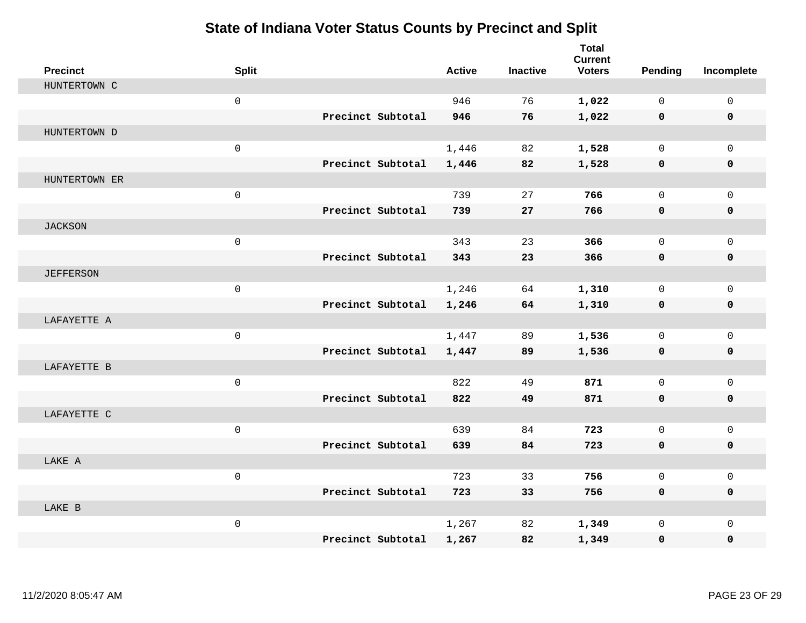| <b>Precinct</b>  | <b>Split</b>        |                   | <b>Active</b> | <b>Inactive</b> | <b>Total</b><br><b>Current</b><br><b>Voters</b> | Pending      | Incomplete  |
|------------------|---------------------|-------------------|---------------|-----------------|-------------------------------------------------|--------------|-------------|
| HUNTERTOWN C     |                     |                   |               |                 |                                                 |              |             |
|                  | $\mathbf 0$         |                   | 946           | 76              | 1,022                                           | $\Omega$     | $\mathbf 0$ |
|                  |                     | Precinct Subtotal | 946           | 76              | 1,022                                           | $\mathbf 0$  | $\mathbf 0$ |
| HUNTERTOWN D     |                     |                   |               |                 |                                                 |              |             |
|                  | $\mathsf{O}\xspace$ |                   | 1,446         | 82              | 1,528                                           | $\mathbf 0$  | $\mathbf 0$ |
|                  |                     | Precinct Subtotal | 1,446         | 82              | 1,528                                           | $\mathbf 0$  | 0           |
| HUNTERTOWN ER    |                     |                   |               |                 |                                                 |              |             |
|                  | $\mathsf{O}\xspace$ |                   | 739           | 27              | 766                                             | $\mathbf{0}$ | $\mathbf 0$ |
|                  |                     | Precinct Subtotal | 739           | 27              | 766                                             | $\mathbf 0$  | $\mathbf 0$ |
| <b>JACKSON</b>   |                     |                   |               |                 |                                                 |              |             |
|                  | $\mathbf 0$         |                   | 343           | 23              | 366                                             | $\mathbf{0}$ | $\mathbf 0$ |
|                  |                     | Precinct Subtotal | 343           | 23              | 366                                             | $\mathbf 0$  | 0           |
| <b>JEFFERSON</b> |                     |                   |               |                 |                                                 |              |             |
|                  | $\mathbf 0$         |                   | 1,246         | 64              | 1,310                                           | $\mathbf 0$  | $\mathbf 0$ |
|                  |                     | Precinct Subtotal | 1,246         | 64              | 1,310                                           | $\mathbf 0$  | 0           |
| LAFAYETTE A      |                     |                   |               |                 |                                                 |              |             |
|                  | $\mathsf{O}\xspace$ |                   | 1,447         | 89              | 1,536                                           | $\mathbf{0}$ | $\mathbf 0$ |
|                  |                     | Precinct Subtotal | 1,447         | 89              | 1,536                                           | $\mathbf 0$  | 0           |
| LAFAYETTE B      |                     |                   |               |                 |                                                 |              |             |
|                  | $\mathsf{O}\xspace$ |                   | 822           | 49              | 871                                             | $\mathbf{0}$ | $\mathbf 0$ |
|                  |                     | Precinct Subtotal | 822           | 49              | 871                                             | 0            | 0           |
| LAFAYETTE C      |                     |                   |               |                 |                                                 |              |             |
|                  | $\mathbf 0$         |                   | 639           | 84              | 723                                             | $\mathbf{0}$ | $\mathbf 0$ |
|                  |                     | Precinct Subtotal | 639           | 84              | 723                                             | $\mathbf 0$  | 0           |
| LAKE A           |                     |                   |               |                 |                                                 |              |             |
|                  | $\mathbf 0$         |                   | 723           | 33              | 756                                             | $\Omega$     | $\mathbf 0$ |
|                  |                     | Precinct Subtotal | 723           | 33              | 756                                             | 0            | 0           |
| LAKE B           |                     |                   |               |                 |                                                 |              |             |
|                  | $\mathsf{O}\xspace$ |                   | 1,267         | 82              | 1,349                                           | $\mathbf{0}$ | $\mathbf 0$ |
|                  |                     | Precinct Subtotal | 1,267         | 82              | 1,349                                           | 0            | 0           |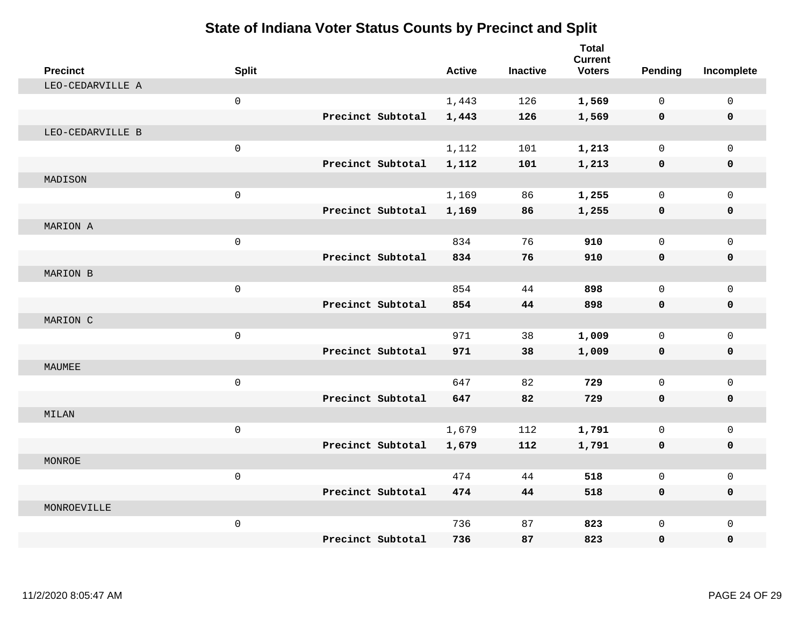| <b>Precinct</b>  | <b>Split</b>        |                   | <b>Active</b> | <b>Inactive</b> | <b>Total</b><br><b>Current</b><br><b>Voters</b> | Pending     | Incomplete  |
|------------------|---------------------|-------------------|---------------|-----------------|-------------------------------------------------|-------------|-------------|
| LEO-CEDARVILLE A |                     |                   |               |                 |                                                 |             |             |
|                  | $\mathsf{O}\xspace$ |                   | 1,443         | 126             | 1,569                                           | 0           | $\mathbf 0$ |
|                  |                     | Precinct Subtotal | 1,443         | 126             | 1,569                                           | $\mathbf 0$ | $\mathbf 0$ |
| LEO-CEDARVILLE B |                     |                   |               |                 |                                                 |             |             |
|                  | $\mathsf{O}\xspace$ |                   | 1,112         | 101             | 1,213                                           | $\mathbf 0$ | $\mathbf 0$ |
|                  |                     | Precinct Subtotal | 1,112         | 101             | 1,213                                           | 0           | $\mathbf 0$ |
| MADISON          |                     |                   |               |                 |                                                 |             |             |
|                  | $\mathsf{O}\xspace$ |                   | 1,169         | 86              | 1,255                                           | 0           | $\Omega$    |
|                  |                     | Precinct Subtotal | 1,169         | 86              | 1,255                                           | 0           | $\mathbf 0$ |
| MARION A         |                     |                   |               |                 |                                                 |             |             |
|                  | $\mathsf{O}\xspace$ |                   | 834           | 76              | 910                                             | 0           | $\mathbf 0$ |
|                  |                     | Precinct Subtotal | 834           | 76              | 910                                             | $\mathbf 0$ | 0           |
| MARION B         |                     |                   |               |                 |                                                 |             |             |
|                  | $\mathsf{O}\xspace$ |                   | 854           | 44              | 898                                             | 0           | $\mathbf 0$ |
|                  |                     | Precinct Subtotal | 854           | 44              | 898                                             | 0           | $\mathbf 0$ |
| MARION C         |                     |                   |               |                 |                                                 |             |             |
|                  | $\mathbf 0$         |                   | 971           | 38              | 1,009                                           | 0           | $\mathbf 0$ |
|                  |                     | Precinct Subtotal | 971           | 38              | 1,009                                           | 0           | $\mathbf 0$ |
| MAUMEE           |                     |                   |               |                 |                                                 |             |             |
|                  | $\mathbf 0$         |                   | 647           | 82              | 729                                             | 0           | $\mathbf 0$ |
|                  |                     | Precinct Subtotal | 647           | 82              | 729                                             | 0           | $\mathbf 0$ |
| MILAN            |                     |                   |               |                 |                                                 |             |             |
|                  | $\mathsf{O}\xspace$ |                   | 1,679         | 112             | 1,791                                           | 0           | $\mathbf 0$ |
|                  |                     | Precinct Subtotal | 1,679         | 112             | 1,791                                           | 0           | 0           |
| <b>MONROE</b>    |                     |                   |               |                 |                                                 |             |             |
|                  | $\mathbf 0$         |                   | 474           | 44              | 518                                             | 0           | $\mathbf 0$ |
|                  |                     | Precinct Subtotal | 474           | 44              | 518                                             | 0           | 0           |
| MONROEVILLE      |                     |                   |               |                 |                                                 |             |             |
|                  | $\mathsf{O}\xspace$ |                   | 736           | 87              | 823                                             | 0           | $\mathbf 0$ |
|                  |                     | Precinct Subtotal | 736           | 87              | 823                                             | 0           | $\mathbf 0$ |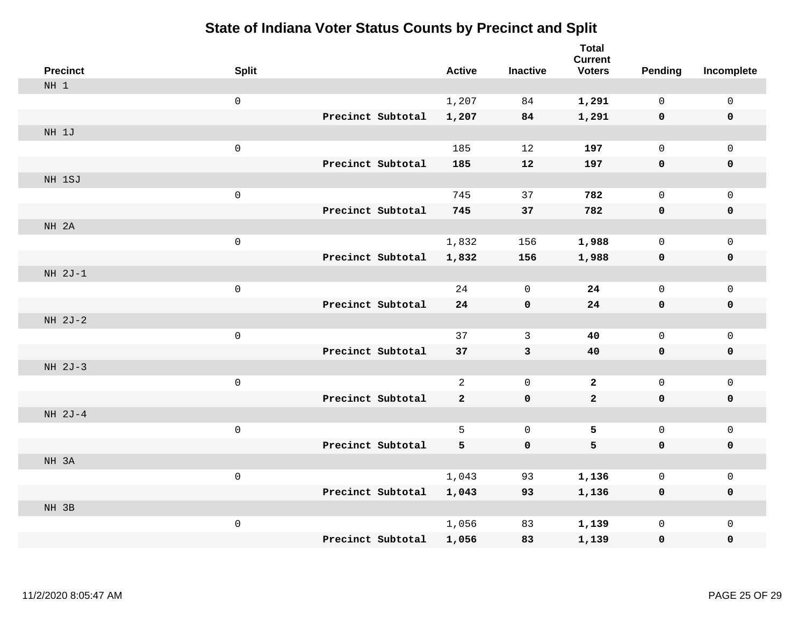| <b>Precinct</b> | <b>Split</b>        |                   | <b>Active</b>  | <b>Inactive</b>     | <b>Total</b><br><b>Current</b><br><b>Voters</b> | <b>Pending</b>      | Incomplete          |
|-----------------|---------------------|-------------------|----------------|---------------------|-------------------------------------------------|---------------------|---------------------|
| NH 1            |                     |                   |                |                     |                                                 |                     |                     |
|                 | $\mathsf{O}\xspace$ |                   | 1,207          | 84                  | 1,291                                           | $\mathbf 0$         | $\mathsf{O}\xspace$ |
|                 |                     | Precinct Subtotal | 1,207          | 84                  | 1,291                                           | $\mathbf 0$         | $\pmb{0}$           |
| NH 1J           |                     |                   |                |                     |                                                 |                     |                     |
|                 | $\mathsf 0$         |                   | 185            | 12                  | 197                                             | $\mathbf 0$         | $\mathsf{O}\xspace$ |
|                 |                     | Precinct Subtotal | 185            | 12                  | 197                                             | $\mathbf 0$         | $\pmb{0}$           |
| NH 1SJ          |                     |                   |                |                     |                                                 |                     |                     |
|                 | $\mathsf 0$         |                   | 745            | 37                  | 782                                             | $\mathsf{O}$        | $\mathsf{O}$        |
|                 |                     | Precinct Subtotal | 745            | 37                  | 782                                             | 0                   | 0                   |
| NH 2A           |                     |                   |                |                     |                                                 |                     |                     |
|                 | $\mathsf{O}$        |                   | 1,832          | 156                 | 1,988                                           | $\mathbf 0$         | $\mathsf{O}\xspace$ |
|                 |                     | Precinct Subtotal | 1,832          | 156                 | 1,988                                           | 0                   | 0                   |
| $NH 2J-1$       |                     |                   |                |                     |                                                 |                     |                     |
|                 | $\mathsf{O}\xspace$ |                   | 24             | $\mathbf 0$         | 24                                              | $\mathbf 0$         | $\mathsf{O}\xspace$ |
|                 |                     | Precinct Subtotal | 24             | $\mathbf 0$         | 24                                              | 0                   | 0                   |
| NH 2J-2         |                     |                   |                |                     |                                                 |                     |                     |
|                 | $\mathbf 0$         |                   | 37             | $\mathbf{3}$        | 40                                              | $\mathsf{O}\xspace$ | $\mathsf{O}\xspace$ |
|                 |                     | Precinct Subtotal | 37             | $\mathbf{3}$        | 40                                              | $\mathbf 0$         | 0                   |
| NH 2J-3         |                     |                   |                |                     |                                                 |                     |                     |
|                 | $\mathsf 0$         |                   | $\overline{2}$ | $\mathbf 0$         | $\mathbf{2}$                                    | $\mathbf 0$         | $\mathsf{O}$        |
|                 |                     | Precinct Subtotal | $\mathbf{2}$   | $\mathbf 0$         | $\mathbf{2}$                                    | 0                   | 0                   |
| NH 2J-4         |                     |                   |                |                     |                                                 |                     |                     |
|                 | $\mathsf 0$         |                   | 5              | $\mathsf{O}\xspace$ | 5                                               | $\mathbf 0$         | $\mathsf{O}$        |
|                 |                     | Precinct Subtotal | 5              | $\mathbf 0$         | 5                                               | $\mathbf 0$         | 0                   |
| NH 3A           |                     |                   |                |                     |                                                 |                     |                     |
|                 | $\mathsf 0$         |                   | 1,043          | 93                  | 1,136                                           | $\mathbf 0$         | $\mathsf{O}$        |
|                 |                     | Precinct Subtotal | 1,043          | 93                  | 1,136                                           | 0                   | 0                   |
| NH 3B           |                     |                   |                |                     |                                                 |                     |                     |
|                 | $\mathsf 0$         |                   | 1,056          | 83                  | 1,139                                           | $\mathbf 0$         | $\mathsf{O}$        |
|                 |                     | Precinct Subtotal | 1,056          | 83                  | 1,139                                           | 0                   | 0                   |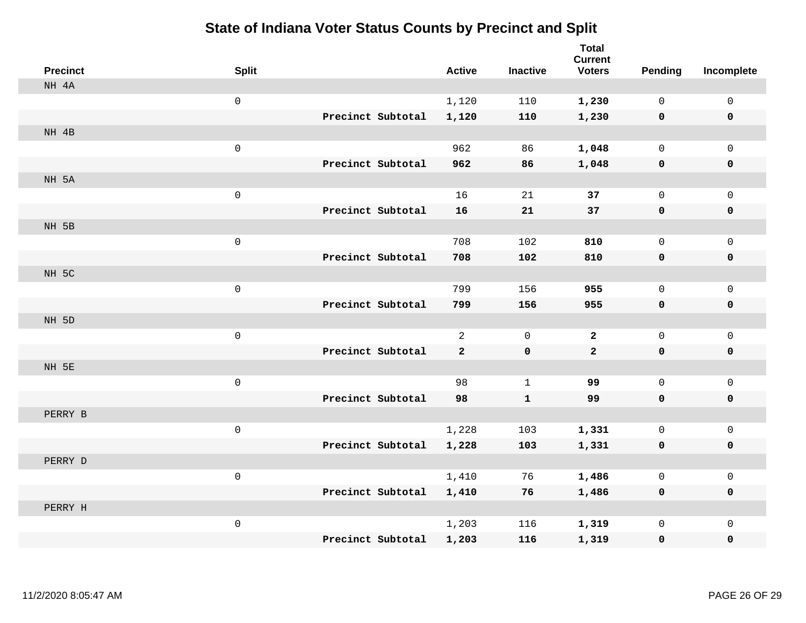| <b>Precinct</b> | <b>Split</b>        |                   | <b>Active</b>  | <b>Inactive</b> | <b>Total</b><br><b>Current</b><br><b>Voters</b> | Pending      | Incomplete   |
|-----------------|---------------------|-------------------|----------------|-----------------|-------------------------------------------------|--------------|--------------|
| NH 4A           |                     |                   |                |                 |                                                 |              |              |
|                 | $\mathsf{O}\xspace$ |                   | 1,120          | 110             | 1,230                                           | $\mathbf{0}$ | $\mathsf{O}$ |
|                 |                     | Precinct Subtotal | 1,120          | 110             | 1,230                                           | $\mathbf 0$  | $\mathbf 0$  |
| NH 4B           |                     |                   |                |                 |                                                 |              |              |
|                 | $\mathsf{O}\xspace$ |                   | 962            | 86              | 1,048                                           | 0            | $\mathbf 0$  |
|                 |                     | Precinct Subtotal | 962            | 86              | 1,048                                           | $\mathbf 0$  | $\mathbf 0$  |
| NH 5A           |                     |                   |                |                 |                                                 |              |              |
|                 | $\mathsf{O}\xspace$ |                   | 16             | 21              | 37                                              | 0            | $\mathbf 0$  |
|                 |                     | Precinct Subtotal | 16             | 21              | 37                                              | $\mathbf 0$  | $\mathbf 0$  |
| NH 5B           |                     |                   |                |                 |                                                 |              |              |
|                 | $\mathsf{O}\xspace$ |                   | 708            | 102             | 810                                             | 0            | $\mathbf 0$  |
|                 |                     | Precinct Subtotal | 708            | 102             | 810                                             | $\mathbf 0$  | $\mathbf 0$  |
| NH 5C           |                     |                   |                |                 |                                                 |              |              |
|                 | $\mathsf{O}\xspace$ |                   | 799            | 156             | 955                                             | 0            | $\mathbf 0$  |
|                 |                     | Precinct Subtotal | 799            | 156             | 955                                             | $\mathbf 0$  | $\mathbf 0$  |
| NH 5D           |                     |                   |                |                 |                                                 |              |              |
|                 | $\mathsf{O}\xspace$ |                   | $\overline{a}$ | $\Omega$        | $\mathbf{2}$                                    | $\mathsf{O}$ | $\mathsf{O}$ |
|                 |                     | Precinct Subtotal | $\mathbf{2}$   | $\mathbf 0$     | $\mathbf{2}$                                    | $\mathbf 0$  | $\mathbf 0$  |
| NH 5E           |                     |                   |                |                 |                                                 |              |              |
|                 | $\mathsf{O}\xspace$ |                   | 98             | $\mathbf 1$     | 99                                              | 0            | $\mathsf{O}$ |
|                 |                     | Precinct Subtotal | 98             | $\mathbf{1}$    | 99                                              | $\mathbf 0$  | 0            |
| PERRY B         |                     |                   |                |                 |                                                 |              |              |
|                 | $\mathsf{O}\xspace$ |                   | 1,228          | 103             | 1,331                                           | 0            | $\mathsf{O}$ |
|                 |                     | Precinct Subtotal | 1,228          | 103             | 1,331                                           | 0            | 0            |
| PERRY D         |                     |                   |                |                 |                                                 |              |              |
|                 | $\mathsf{O}\xspace$ |                   | 1,410          | 76              | 1,486                                           | 0            | $\mathsf{O}$ |
|                 |                     | Precinct Subtotal | 1,410          | 76              | 1,486                                           | 0            | 0            |
| PERRY H         |                     |                   |                |                 |                                                 |              |              |
|                 | $\mathsf{O}\xspace$ |                   | 1,203          | 116             | 1,319                                           | 0            | $\mathsf{O}$ |
|                 |                     | Precinct Subtotal | 1,203          | 116             | 1,319                                           | 0            | 0            |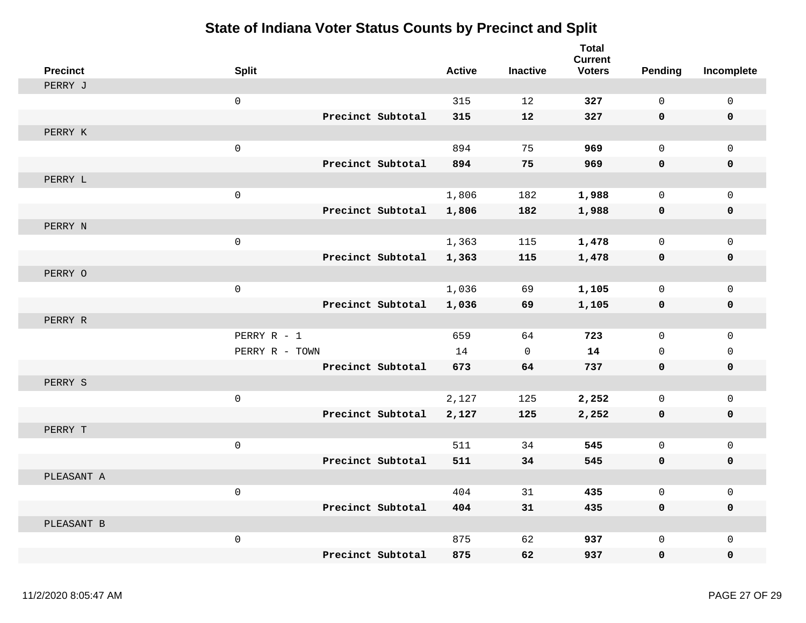| <b>Precinct</b> | <b>Split</b>   |                   | <b>Active</b> | <b>Inactive</b> | <b>Total</b><br><b>Current</b><br><b>Voters</b> | <b>Pending</b>      | Incomplete   |
|-----------------|----------------|-------------------|---------------|-----------------|-------------------------------------------------|---------------------|--------------|
| PERRY J         |                |                   |               |                 |                                                 |                     |              |
|                 | $\mathbf 0$    |                   | 315           | 12              | 327                                             | $\mathbf 0$         | $\mathsf{O}$ |
|                 |                | Precinct Subtotal | 315           | 12              | 327                                             | $\mathbf 0$         | 0            |
| PERRY K         |                |                   |               |                 |                                                 |                     |              |
|                 | $\mathbf 0$    |                   | 894           | 75              | 969                                             | $\mathbf 0$         | $\mathbf{0}$ |
|                 |                | Precinct Subtotal | 894           | 75              | 969                                             | $\mathbf 0$         | 0            |
| PERRY L         |                |                   |               |                 |                                                 |                     |              |
|                 | $\mbox{O}$     |                   | 1,806         | 182             | 1,988                                           | $\mathbf 0$         | 0            |
|                 |                | Precinct Subtotal | 1,806         | 182             | 1,988                                           | $\mathbf 0$         | $\pmb{0}$    |
| PERRY N         |                |                   |               |                 |                                                 |                     |              |
|                 | $\mathsf 0$    |                   | 1,363         | 115             | 1,478                                           | $\mathbf 0$         | 0            |
|                 |                | Precinct Subtotal | 1,363         | 115             | 1,478                                           | 0                   | $\mathbf 0$  |
| PERRY O         |                |                   |               |                 |                                                 |                     |              |
|                 | $\mathsf 0$    |                   | 1,036         | 69              | 1,105                                           | $\mathbf 0$         | $\mathbf 0$  |
|                 |                | Precinct Subtotal | 1,036         | 69              | 1,105                                           | $\mathsf{O}\xspace$ | 0            |
| PERRY R         |                |                   |               |                 |                                                 |                     |              |
|                 | PERRY R - 1    |                   | 659           | 64              | 723                                             | $\mathbf 0$         | $\mathbf{0}$ |
|                 | PERRY R - TOWN |                   | 14            | $\mathbf 0$     | 14                                              | $\Omega$            | 0            |
|                 |                | Precinct Subtotal | 673           | 64              | 737                                             | $\mathbf 0$         | 0            |
| PERRY S         |                |                   |               |                 |                                                 |                     |              |
|                 | $\mathsf 0$    |                   | 2,127         | 125             | 2,252                                           | 0                   | $\mathbf 0$  |
|                 |                | Precinct Subtotal | 2,127         | 125             | 2,252                                           | 0                   | 0            |
| PERRY T         |                |                   |               |                 |                                                 |                     |              |
|                 | $\mathbf 0$    |                   | 511           | 34              | 545                                             | $\mathbf 0$         | $\mathbf 0$  |
|                 |                | Precinct Subtotal | 511           | 34              | 545                                             | 0                   | 0            |
| PLEASANT A      |                |                   |               |                 |                                                 |                     |              |
|                 | $\mathsf 0$    |                   | 404           | 31              | 435                                             | $\mathbf 0$         | 0            |
|                 |                | Precinct Subtotal | 404           | 31              | 435                                             | $\mathbf 0$         | $\mathbf 0$  |
| PLEASANT B      |                |                   |               |                 |                                                 |                     |              |
|                 | $\mathbf 0$    |                   | 875           | 62              | 937                                             | $\Omega$            | $\mathbf{0}$ |
|                 |                | Precinct Subtotal | 875           | 62              | 937                                             | $\mathbf 0$         | 0            |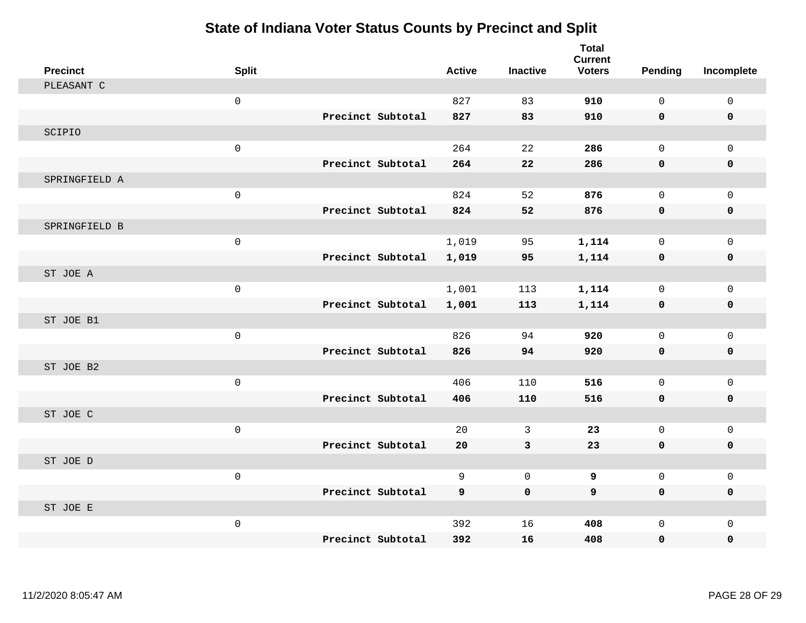| <b>Precinct</b> | <b>Split</b>        |                   | <b>Active</b> | <b>Inactive</b> | <b>Total</b><br><b>Current</b><br><b>Voters</b> | Pending      | Incomplete   |
|-----------------|---------------------|-------------------|---------------|-----------------|-------------------------------------------------|--------------|--------------|
| PLEASANT C      |                     |                   |               |                 |                                                 |              |              |
|                 | $\mathsf 0$         |                   | 827           | 83              | 910                                             | $\mathsf{O}$ | $\mathsf 0$  |
|                 |                     | Precinct Subtotal | 827           | 83              | 910                                             | $\mathbf 0$  | 0            |
| SCIPIO          |                     |                   |               |                 |                                                 |              |              |
|                 | $\mathsf{O}\xspace$ |                   | 264           | 22              | 286                                             | $\mathbf 0$  | $\mathbf 0$  |
|                 |                     | Precinct Subtotal | 264           | 22              | 286                                             | 0            | 0            |
| SPRINGFIELD A   |                     |                   |               |                 |                                                 |              |              |
|                 | $\mathsf{O}\xspace$ |                   | 824           | 52              | 876                                             | $\mathbf 0$  | $\mathbf 0$  |
|                 |                     | Precinct Subtotal | 824           | 52              | 876                                             | 0            | $\pmb{0}$    |
| SPRINGFIELD B   |                     |                   |               |                 |                                                 |              |              |
|                 | $\mathsf 0$         |                   | 1,019         | 95              | 1,114                                           | $\mathsf{O}$ | $\mathbf{0}$ |
|                 |                     | Precinct Subtotal | 1,019         | 95              | 1,114                                           | 0            | 0            |
| ST JOE A        |                     |                   |               |                 |                                                 |              |              |
|                 | $\mathsf{O}\xspace$ |                   | 1,001         | 113             | 1,114                                           | $\mathbf 0$  | $\mathbf 0$  |
|                 |                     | Precinct Subtotal | 1,001         | 113             | 1,114                                           | 0            | $\mathbf 0$  |
| ST JOE B1       |                     |                   |               |                 |                                                 |              |              |
|                 | $\mathsf 0$         |                   | 826           | 94              | 920                                             | $\mathbf 0$  | $\mathbf{0}$ |
|                 |                     | Precinct Subtotal | 826           | 94              | 920                                             | 0            | 0            |
| ST JOE B2       |                     |                   |               |                 |                                                 |              |              |
|                 | $\mathsf 0$         |                   | 406           | 110             | 516                                             | $\mathbf 0$  | $\mathsf 0$  |
|                 |                     | Precinct Subtotal | 406           | 110             | 516                                             | 0            | 0            |
| ST JOE C        |                     |                   |               |                 |                                                 |              |              |
|                 | $\mathsf 0$         |                   | 20            | 3               | 23                                              | $\mathbf 0$  | $\mathbf 0$  |
|                 |                     | Precinct Subtotal | 20            | 3               | 23                                              | 0            | 0            |
| ST JOE D        |                     |                   |               |                 |                                                 |              |              |
|                 | $\mathsf 0$         |                   | 9             | $\mathbf 0$     | 9                                               | $\mathbf 0$  | $\mathbf 0$  |
|                 |                     | Precinct Subtotal | 9             | $\mathbf 0$     | 9                                               | $\mathbf 0$  | 0            |
| ST JOE E        |                     |                   |               |                 |                                                 |              |              |
|                 | $\mathsf{O}\xspace$ |                   | 392           | 16              | 408                                             | $\mathbf 0$  | $\mathsf 0$  |
|                 |                     | Precinct Subtotal | 392           | 16              | 408                                             | 0            | 0            |